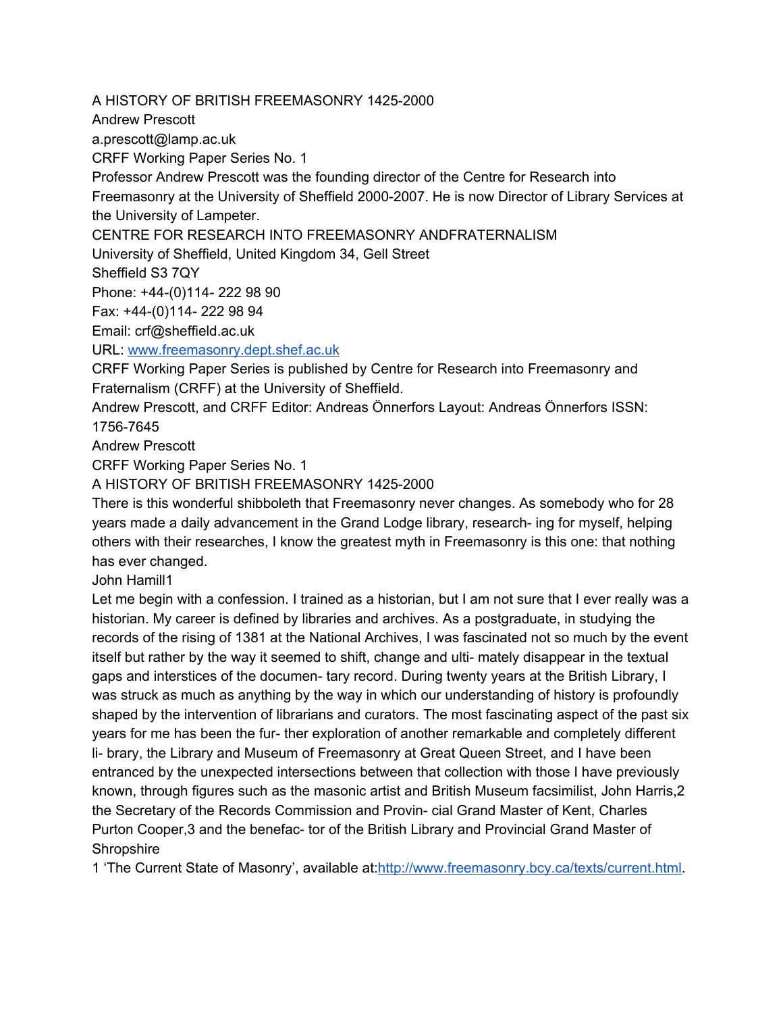### A HISTORY OF BRITISH FREEMASONRY 1425-2000

Andrew Prescott

a.prescott@lamp.ac.uk

CRFF Working Paper Series No. 1

Professor Andrew Prescott was the founding director of the Centre for Research into

Freemasonry at the University of Sheffield 2000-2007. He is now Director of Library Services at the University of Lampeter.

CENTRE FOR RESEARCH INTO FREEMASONRY ANDFRATERNALISM

University of Sheffield, United Kingdom 34, Gell Street

Sheffield S3 7QY

Phone: +44-(0)114- 222 98 90

Fax: +44-(0)114- 222 98 94

Email: crf@sheffield.ac.uk

URL[:](http://www.freemasonry.dept.shef.ac.uk/) [www.freemasonry.dept.shef.ac.uk](http://www.freemasonry.dept.shef.ac.uk/)

CRFF Working Paper Series is published by Centre for Research into Freemasonry and Fraternalism (CRFF) at the University of Sheffield.

Andrew Prescott, and CRFF Editor: Andreas Önnerfors Layout: Andreas Önnerfors ISSN: 1756-7645

Andrew Prescott

CRFF Working Paper Series No. 1

A HISTORY OF BRITISH FREEMASONRY 1425-2000

There is this wonderful shibboleth that Freemasonry never changes. As somebody who for 28 years made a daily advancement in the Grand Lodge library, research- ing for myself, helping others with their researches, I know the greatest myth in Freemasonry is this one: that nothing has ever changed.

John Hamill1

Let me begin with a confession. I trained as a historian, but I am not sure that I ever really was a historian. My career is defined by libraries and archives. As a postgraduate, in studying the records of the rising of 1381 at the National Archives, I was fascinated not so much by the event itself but rather by the way it seemed to shift, change and ulti- mately disappear in the textual gaps and interstices of the documen- tary record. During twenty years at the British Library, I was struck as much as anything by the way in which our understanding of history is profoundly shaped by the intervention of librarians and curators. The most fascinating aspect of the past six years for me has been the fur- ther exploration of another remarkable and completely different li- brary, the Library and Museum of Freemasonry at Great Queen Street, and I have been entranced by the unexpected intersections between that collection with those I have previously known, through figures such as the masonic artist and British Museum facsimilist, John Harris,2 the Secretary of the Records Commission and Provin- cial Grand Master of Kent, Charles Purton Cooper,3 and the benefac- tor of the British Library and Provincial Grand Master of **Shropshire** 

1 'The Current State of Masonry', available at:<http://www.freemasonry.bcy.ca/texts/current.html>.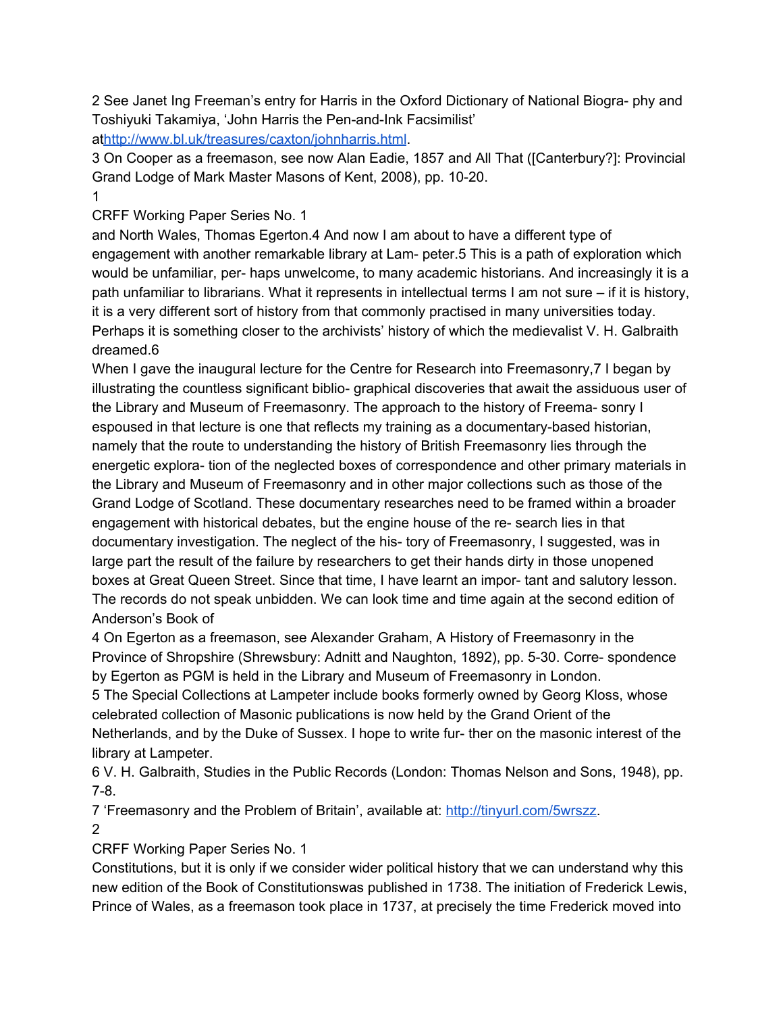2 See Janet Ing Freeman's entry for Harris in the Oxford Dictionary of National Biogra- phy and Toshiyuki Takamiya, 'John Harris the Pen-and-Ink Facsimilist'

a[thttp://www.bl.uk/treasures/caxton/johnharris.html](http://www.bl.uk/treasures/caxton/johnharris.html).

3 On Cooper as a freemason, see now Alan Eadie, 1857 and All That ([Canterbury?]: Provincial Grand Lodge of Mark Master Masons of Kent, 2008), pp. 10-20.

1

CRFF Working Paper Series No. 1

and North Wales, Thomas Egerton.4 And now I am about to have a different type of engagement with another remarkable library at Lam- peter.5 This is a path of exploration which would be unfamiliar, per- haps unwelcome, to many academic historians. And increasingly it is a path unfamiliar to librarians. What it represents in intellectual terms I am not sure – if it is history, it is a very different sort of history from that commonly practised in many universities today. Perhaps it is something closer to the archivists' history of which the medievalist V. H. Galbraith dreamed.6

When I gave the inaugural lecture for the Centre for Research into Freemasonry, 7 I began by illustrating the countless significant biblio- graphical discoveries that await the assiduous user of the Library and Museum of Freemasonry. The approach to the history of Freema- sonry I espoused in that lecture is one that reflects my training as a documentary-based historian, namely that the route to understanding the history of British Freemasonry lies through the energetic explora- tion of the neglected boxes of correspondence and other primary materials in the Library and Museum of Freemasonry and in other major collections such as those of the Grand Lodge of Scotland. These documentary researches need to be framed within a broader engagement with historical debates, but the engine house of the re- search lies in that documentary investigation. The neglect of the his- tory of Freemasonry, I suggested, was in large part the result of the failure by researchers to get their hands dirty in those unopened boxes at Great Queen Street. Since that time, I have learnt an impor- tant and salutory lesson. The records do not speak unbidden. We can look time and time again at the second edition of Anderson's Book of

4 On Egerton as a freemason, see Alexander Graham, A History of Freemasonry in the Province of Shropshire (Shrewsbury: Adnitt and Naughton, 1892), pp. 5-30. Corre- spondence by Egerton as PGM is held in the Library and Museum of Freemasonry in London.

5 The Special Collections at Lampeter include books formerly owned by Georg Kloss, whose celebrated collection of Masonic publications is now held by the Grand Orient of the Netherlands, and by the Duke of Sussex. I hope to write fur- ther on the masonic interest of the library at Lampeter.

6 V. H. Galbraith, Studies in the Public Records (London: Thomas Nelson and Sons, 1948), pp. 7-8.

7 'Freemasonry and the Problem of Britain', available at: <http://tinyurl.com/5wrszz>. 2

# CRFF Working Paper Series No. 1

Constitutions, but it is only if we consider wider political history that we can understand why this new edition of the Book of Constitutionswas published in 1738. The initiation of Frederick Lewis, Prince of Wales, as a freemason took place in 1737, at precisely the time Frederick moved into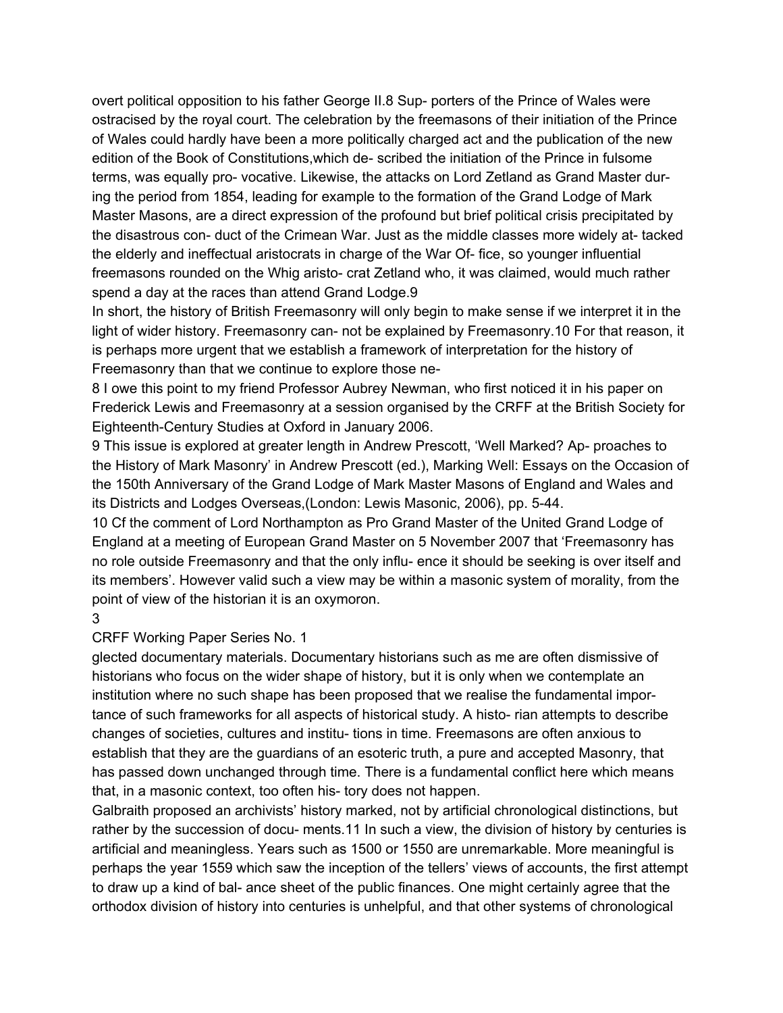overt political opposition to his father George II.8 Sup- porters of the Prince of Wales were ostracised by the royal court. The celebration by the freemasons of their initiation of the Prince of Wales could hardly have been a more politically charged act and the publication of the new edition of the Book of Constitutions,which de- scribed the initiation of the Prince in fulsome terms, was equally pro- vocative. Likewise, the attacks on Lord Zetland as Grand Master during the period from 1854, leading for example to the formation of the Grand Lodge of Mark Master Masons, are a direct expression of the profound but brief political crisis precipitated by the disastrous con- duct of the Crimean War. Just as the middle classes more widely at- tacked the elderly and ineffectual aristocrats in charge of the War Of- fice, so younger influential freemasons rounded on the Whig aristo- crat Zetland who, it was claimed, would much rather spend a day at the races than attend Grand Lodge.9

In short, the history of British Freemasonry will only begin to make sense if we interpret it in the light of wider history. Freemasonry can- not be explained by Freemasonry.10 For that reason, it is perhaps more urgent that we establish a framework of interpretation for the history of Freemasonry than that we continue to explore those ne-

8 I owe this point to my friend Professor Aubrey Newman, who first noticed it in his paper on Frederick Lewis and Freemasonry at a session organised by the CRFF at the British Society for Eighteenth-Century Studies at Oxford in January 2006.

9 This issue is explored at greater length in Andrew Prescott, 'Well Marked? Ap- proaches to the History of Mark Masonry' in Andrew Prescott (ed.), Marking Well: Essays on the Occasion of the 150th Anniversary of the Grand Lodge of Mark Master Masons of England and Wales and its Districts and Lodges Overseas,(London: Lewis Masonic, 2006), pp. 5-44.

10 Cf the comment of Lord Northampton as Pro Grand Master of the United Grand Lodge of England at a meeting of European Grand Master on 5 November 2007 that 'Freemasonry has no role outside Freemasonry and that the only influ- ence it should be seeking is over itself and its members'. However valid such a view may be within a masonic system of morality, from the point of view of the historian it is an oxymoron.

# 3

# CRFF Working Paper Series No. 1

glected documentary materials. Documentary historians such as me are often dismissive of historians who focus on the wider shape of history, but it is only when we contemplate an institution where no such shape has been proposed that we realise the fundamental importance of such frameworks for all aspects of historical study. A histo- rian attempts to describe changes of societies, cultures and institu- tions in time. Freemasons are often anxious to establish that they are the guardians of an esoteric truth, a pure and accepted Masonry, that has passed down unchanged through time. There is a fundamental conflict here which means that, in a masonic context, too often his- tory does not happen.

Galbraith proposed an archivists' history marked, not by artificial chronological distinctions, but rather by the succession of docu- ments.11 In such a view, the division of history by centuries is artificial and meaningless. Years such as 1500 or 1550 are unremarkable. More meaningful is perhaps the year 1559 which saw the inception of the tellers' views of accounts, the first attempt to draw up a kind of bal- ance sheet of the public finances. One might certainly agree that the orthodox division of history into centuries is unhelpful, and that other systems of chronological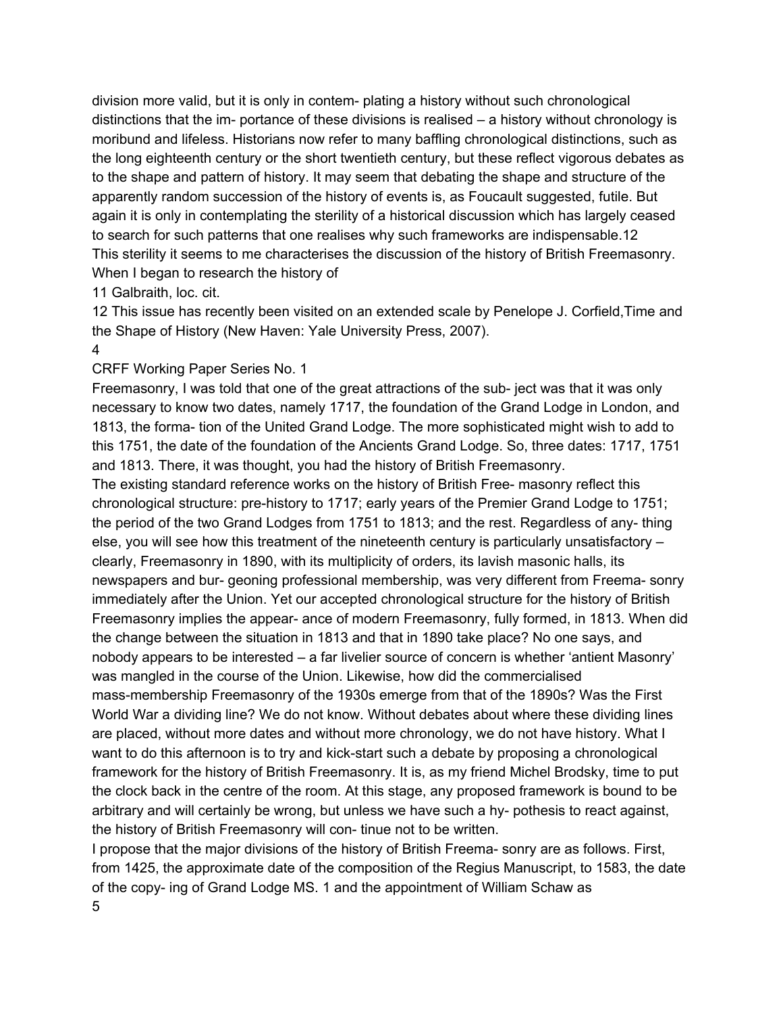division more valid, but it is only in contem- plating a history without such chronological distinctions that the im- portance of these divisions is realised – a history without chronology is moribund and lifeless. Historians now refer to many baffling chronological distinctions, such as the long eighteenth century or the short twentieth century, but these reflect vigorous debates as to the shape and pattern of history. It may seem that debating the shape and structure of the apparently random succession of the history of events is, as Foucault suggested, futile. But again it is only in contemplating the sterility of a historical discussion which has largely ceased to search for such patterns that one realises why such frameworks are indispensable.12 This sterility it seems to me characterises the discussion of the history of British Freemasonry. When I began to research the history of

11 Galbraith, loc. cit.

12 This issue has recently been visited on an extended scale by Penelope J. Corfield,Time and the Shape of History (New Haven: Yale University Press, 2007).

4

CRFF Working Paper Series No. 1

Freemasonry, I was told that one of the great attractions of the sub- ject was that it was only necessary to know two dates, namely 1717, the foundation of the Grand Lodge in London, and 1813, the forma- tion of the United Grand Lodge. The more sophisticated might wish to add to this 1751, the date of the foundation of the Ancients Grand Lodge. So, three dates: 1717, 1751 and 1813. There, it was thought, you had the history of British Freemasonry.

The existing standard reference works on the history of British Free- masonry reflect this chronological structure: pre-history to 1717; early years of the Premier Grand Lodge to 1751; the period of the two Grand Lodges from 1751 to 1813; and the rest. Regardless of any- thing else, you will see how this treatment of the nineteenth century is particularly unsatisfactory – clearly, Freemasonry in 1890, with its multiplicity of orders, its lavish masonic halls, its newspapers and bur- geoning professional membership, was very different from Freema- sonry immediately after the Union. Yet our accepted chronological structure for the history of British Freemasonry implies the appear- ance of modern Freemasonry, fully formed, in 1813. When did the change between the situation in 1813 and that in 1890 take place? No one says, and nobody appears to be interested – a far livelier source of concern is whether 'antient Masonry' was mangled in the course of the Union. Likewise, how did the commercialised mass-membership Freemasonry of the 1930s emerge from that of the 1890s? Was the First World War a dividing line? We do not know. Without debates about where these dividing lines are placed, without more dates and without more chronology, we do not have history. What I want to do this afternoon is to try and kick-start such a debate by proposing a chronological framework for the history of British Freemasonry. It is, as my friend Michel Brodsky, time to put the clock back in the centre of the room. At this stage, any proposed framework is bound to be arbitrary and will certainly be wrong, but unless we have such a hy- pothesis to react against, the history of British Freemasonry will con- tinue not to be written.

I propose that the major divisions of the history of British Freema- sonry are as follows. First, from 1425, the approximate date of the composition of the Regius Manuscript, to 1583, the date of the copy- ing of Grand Lodge MS. 1 and the appointment of William Schaw as 5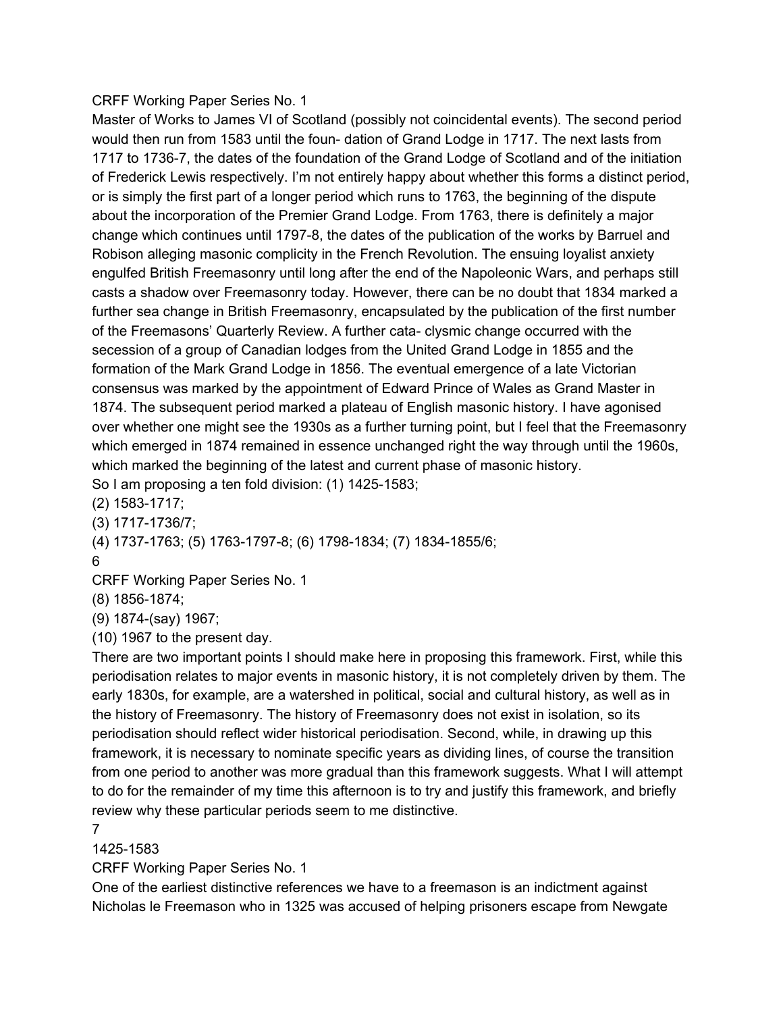### CRFF Working Paper Series No. 1

Master of Works to James VI of Scotland (possibly not coincidental events). The second period would then run from 1583 until the foun- dation of Grand Lodge in 1717. The next lasts from 1717 to 1736-7, the dates of the foundation of the Grand Lodge of Scotland and of the initiation of Frederick Lewis respectively. I'm not entirely happy about whether this forms a distinct period, or is simply the first part of a longer period which runs to 1763, the beginning of the dispute about the incorporation of the Premier Grand Lodge. From 1763, there is definitely a major change which continues until 1797-8, the dates of the publication of the works by Barruel and Robison alleging masonic complicity in the French Revolution. The ensuing loyalist anxiety engulfed British Freemasonry until long after the end of the Napoleonic Wars, and perhaps still casts a shadow over Freemasonry today. However, there can be no doubt that 1834 marked a further sea change in British Freemasonry, encapsulated by the publication of the first number of the Freemasons' Quarterly Review. A further cata- clysmic change occurred with the secession of a group of Canadian lodges from the United Grand Lodge in 1855 and the formation of the Mark Grand Lodge in 1856. The eventual emergence of a late Victorian consensus was marked by the appointment of Edward Prince of Wales as Grand Master in 1874. The subsequent period marked a plateau of English masonic history. I have agonised over whether one might see the 1930s as a further turning point, but I feel that the Freemasonry which emerged in 1874 remained in essence unchanged right the way through until the 1960s, which marked the beginning of the latest and current phase of masonic history.

So I am proposing a ten fold division: (1) 1425-1583;

(2) 1583-1717;

(3) 1717-1736/7;

(4) 1737-1763; (5) 1763-1797-8; (6) 1798-1834; (7) 1834-1855/6;

6

CRFF Working Paper Series No. 1

(8) 1856-1874;

(9) 1874-(say) 1967;

(10) 1967 to the present day.

There are two important points I should make here in proposing this framework. First, while this periodisation relates to major events in masonic history, it is not completely driven by them. The early 1830s, for example, are a watershed in political, social and cultural history, as well as in the history of Freemasonry. The history of Freemasonry does not exist in isolation, so its periodisation should reflect wider historical periodisation. Second, while, in drawing up this framework, it is necessary to nominate specific years as dividing lines, of course the transition from one period to another was more gradual than this framework suggests. What I will attempt to do for the remainder of my time this afternoon is to try and justify this framework, and briefly review why these particular periods seem to me distinctive.

7

1425-1583

CRFF Working Paper Series No. 1

One of the earliest distinctive references we have to a freemason is an indictment against Nicholas le Freemason who in 1325 was accused of helping prisoners escape from Newgate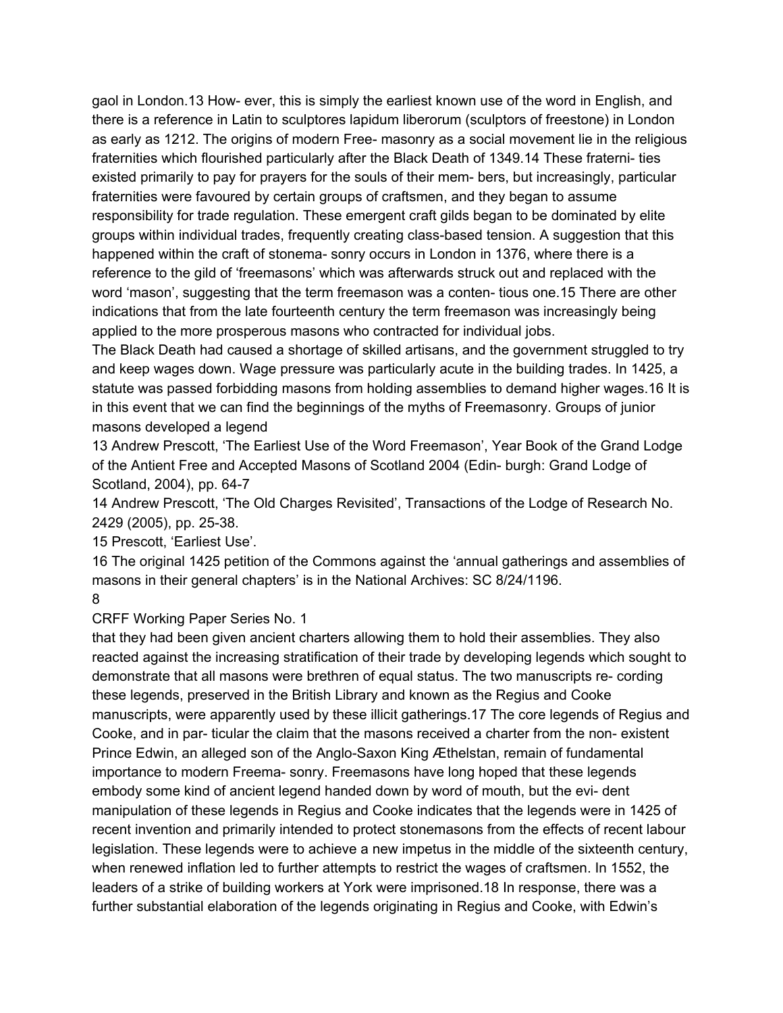gaol in London.13 How- ever, this is simply the earliest known use of the word in English, and there is a reference in Latin to sculptores lapidum liberorum (sculptors of freestone) in London as early as 1212. The origins of modern Free- masonry as a social movement lie in the religious fraternities which flourished particularly after the Black Death of 1349.14 These fraterni- ties existed primarily to pay for prayers for the souls of their mem- bers, but increasingly, particular fraternities were favoured by certain groups of craftsmen, and they began to assume responsibility for trade regulation. These emergent craft gilds began to be dominated by elite groups within individual trades, frequently creating class-based tension. A suggestion that this happened within the craft of stonema- sonry occurs in London in 1376, where there is a reference to the gild of 'freemasons' which was afterwards struck out and replaced with the word 'mason', suggesting that the term freemason was a conten- tious one.15 There are other indications that from the late fourteenth century the term freemason was increasingly being applied to the more prosperous masons who contracted for individual jobs.

The Black Death had caused a shortage of skilled artisans, and the government struggled to try and keep wages down. Wage pressure was particularly acute in the building trades. In 1425, a statute was passed forbidding masons from holding assemblies to demand higher wages.16 It is in this event that we can find the beginnings of the myths of Freemasonry. Groups of junior masons developed a legend

13 Andrew Prescott, 'The Earliest Use of the Word Freemason', Year Book of the Grand Lodge of the Antient Free and Accepted Masons of Scotland 2004 (Edin- burgh: Grand Lodge of Scotland, 2004), pp. 64-7

14 Andrew Prescott, 'The Old Charges Revisited', Transactions of the Lodge of Research No. 2429 (2005), pp. 25-38.

15 Prescott, 'Earliest Use'.

16 The original 1425 petition of the Commons against the 'annual gatherings and assemblies of masons in their general chapters' is in the National Archives: SC 8/24/1196.

### 8

CRFF Working Paper Series No. 1

that they had been given ancient charters allowing them to hold their assemblies. They also reacted against the increasing stratification of their trade by developing legends which sought to demonstrate that all masons were brethren of equal status. The two manuscripts re- cording these legends, preserved in the British Library and known as the Regius and Cooke manuscripts, were apparently used by these illicit gatherings.17 The core legends of Regius and Cooke, and in par- ticular the claim that the masons received a charter from the non- existent Prince Edwin, an alleged son of the Anglo-Saxon King Æthelstan, remain of fundamental importance to modern Freema- sonry. Freemasons have long hoped that these legends embody some kind of ancient legend handed down by word of mouth, but the evi- dent manipulation of these legends in Regius and Cooke indicates that the legends were in 1425 of recent invention and primarily intended to protect stonemasons from the effects of recent labour legislation. These legends were to achieve a new impetus in the middle of the sixteenth century, when renewed inflation led to further attempts to restrict the wages of craftsmen. In 1552, the leaders of a strike of building workers at York were imprisoned.18 In response, there was a further substantial elaboration of the legends originating in Regius and Cooke, with Edwin's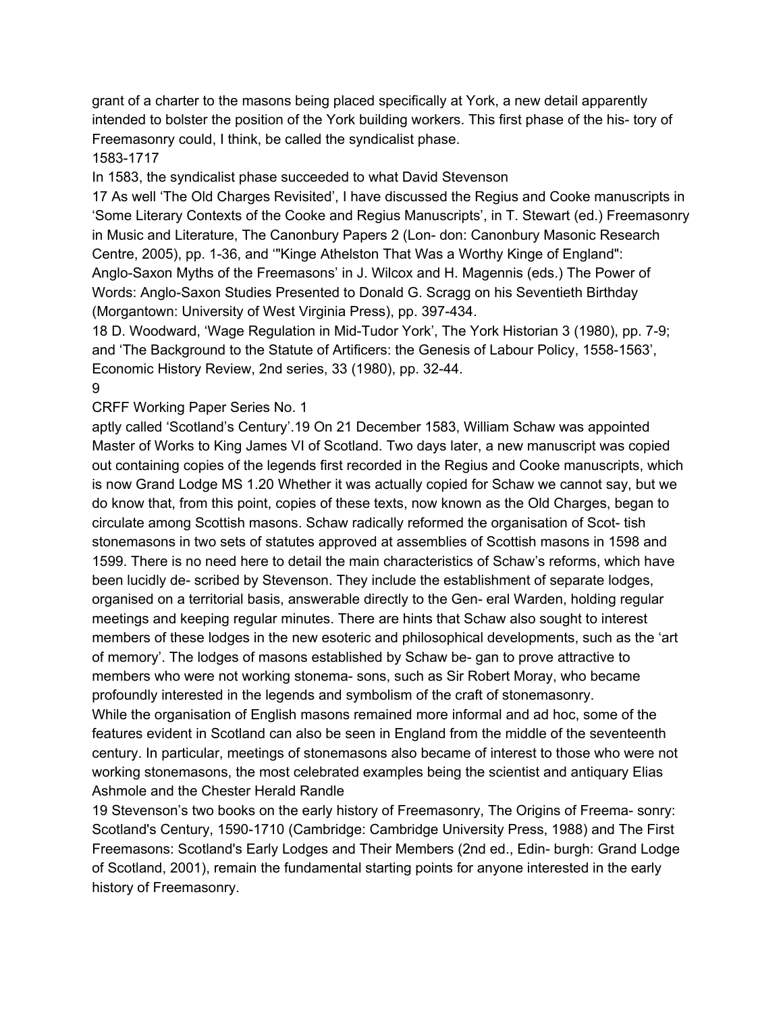grant of a charter to the masons being placed specifically at York, a new detail apparently intended to bolster the position of the York building workers. This first phase of the his- tory of Freemasonry could, I think, be called the syndicalist phase.

1583-1717

In 1583, the syndicalist phase succeeded to what David Stevenson

17 As well 'The Old Charges Revisited', I have discussed the Regius and Cooke manuscripts in 'Some Literary Contexts of the Cooke and Regius Manuscripts', in T. Stewart (ed.) Freemasonry in Music and Literature, The Canonbury Papers 2 (Lon- don: Canonbury Masonic Research Centre, 2005), pp. 1-36, and '"Kinge Athelston That Was a Worthy Kinge of England": Anglo-Saxon Myths of the Freemasons' in J. Wilcox and H. Magennis (eds.) The Power of Words: Anglo-Saxon Studies Presented to Donald G. Scragg on his Seventieth Birthday (Morgantown: University of West Virginia Press), pp. 397-434.

18 D. Woodward, 'Wage Regulation in Mid-Tudor York', The York Historian 3 (1980), pp. 7-9; and 'The Background to the Statute of Artificers: the Genesis of Labour Policy, 1558-1563', Economic History Review, 2nd series, 33 (1980), pp. 32-44.

9

CRFF Working Paper Series No. 1

aptly called 'Scotland's Century'.19 On 21 December 1583, William Schaw was appointed Master of Works to King James VI of Scotland. Two days later, a new manuscript was copied out containing copies of the legends first recorded in the Regius and Cooke manuscripts, which is now Grand Lodge MS 1.20 Whether it was actually copied for Schaw we cannot say, but we do know that, from this point, copies of these texts, now known as the Old Charges, began to circulate among Scottish masons. Schaw radically reformed the organisation of Scot- tish stonemasons in two sets of statutes approved at assemblies of Scottish masons in 1598 and 1599. There is no need here to detail the main characteristics of Schaw's reforms, which have been lucidly de- scribed by Stevenson. They include the establishment of separate lodges, organised on a territorial basis, answerable directly to the Gen- eral Warden, holding regular meetings and keeping regular minutes. There are hints that Schaw also sought to interest members of these lodges in the new esoteric and philosophical developments, such as the 'art of memory'. The lodges of masons established by Schaw be- gan to prove attractive to members who were not working stonema- sons, such as Sir Robert Moray, who became profoundly interested in the legends and symbolism of the craft of stonemasonry. While the organisation of English masons remained more informal and ad hoc, some of the features evident in Scotland can also be seen in England from the middle of the seventeenth century. In particular, meetings of stonemasons also became of interest to those who were not

working stonemasons, the most celebrated examples being the scientist and antiquary Elias Ashmole and the Chester Herald Randle

19 Stevenson's two books on the early history of Freemasonry, The Origins of Freema- sonry: Scotland's Century, 1590-1710 (Cambridge: Cambridge University Press, 1988) and The First Freemasons: Scotland's Early Lodges and Their Members (2nd ed., Edin- burgh: Grand Lodge of Scotland, 2001), remain the fundamental starting points for anyone interested in the early history of Freemasonry.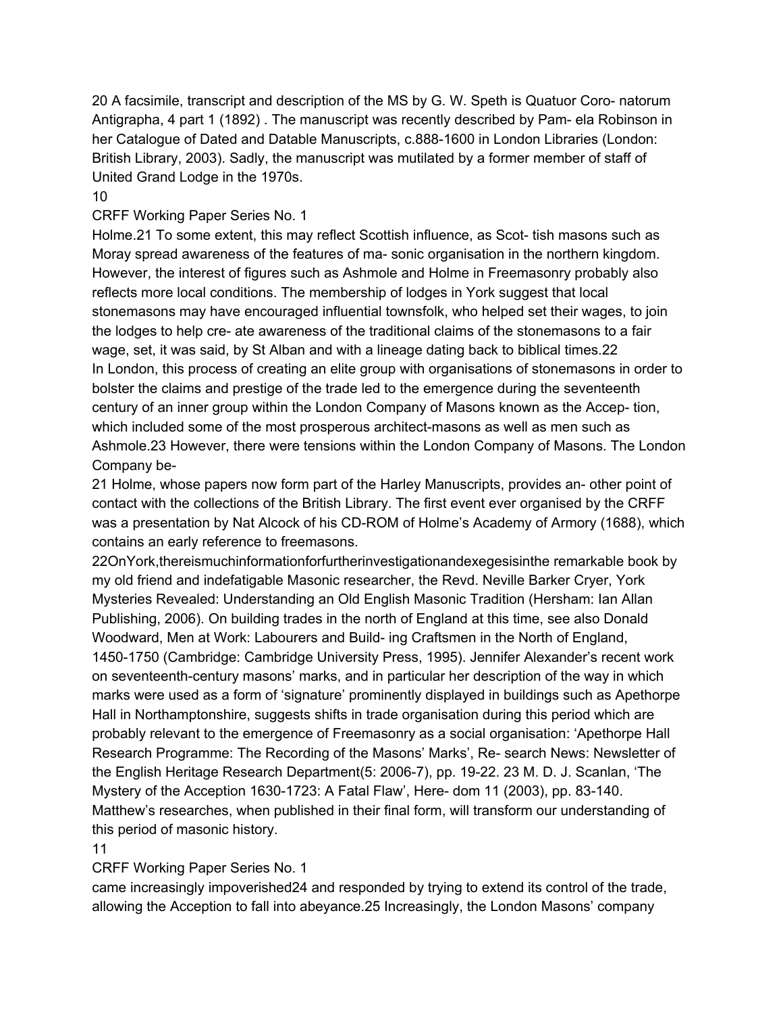20 A facsimile, transcript and description of the MS by G. W. Speth is Quatuor Coro- natorum Antigrapha, 4 part 1 (1892) . The manuscript was recently described by Pam- ela Robinson in her Catalogue of Dated and Datable Manuscripts, c.888-1600 in London Libraries (London: British Library, 2003). Sadly, the manuscript was mutilated by a former member of staff of United Grand Lodge in the 1970s.

#### 10

### CRFF Working Paper Series No. 1

Holme.21 To some extent, this may reflect Scottish influence, as Scot- tish masons such as Moray spread awareness of the features of ma- sonic organisation in the northern kingdom. However, the interest of figures such as Ashmole and Holme in Freemasonry probably also reflects more local conditions. The membership of lodges in York suggest that local stonemasons may have encouraged influential townsfolk, who helped set their wages, to join the lodges to help cre- ate awareness of the traditional claims of the stonemasons to a fair wage, set, it was said, by St Alban and with a lineage dating back to biblical times.22 In London, this process of creating an elite group with organisations of stonemasons in order to bolster the claims and prestige of the trade led to the emergence during the seventeenth century of an inner group within the London Company of Masons known as the Accep- tion, which included some of the most prosperous architect-masons as well as men such as Ashmole.23 However, there were tensions within the London Company of Masons. The London Company be-

21 Holme, whose papers now form part of the Harley Manuscripts, provides an- other point of contact with the collections of the British Library. The first event ever organised by the CRFF was a presentation by Nat Alcock of his CD-ROM of Holme's Academy of Armory (1688), which contains an early reference to freemasons.

22OnYork,thereismuchinformationforfurtherinvestigationandexegesisinthe remarkable book by my old friend and indefatigable Masonic researcher, the Revd. Neville Barker Cryer, York Mysteries Revealed: Understanding an Old English Masonic Tradition (Hersham: Ian Allan Publishing, 2006). On building trades in the north of England at this time, see also Donald Woodward, Men at Work: Labourers and Build- ing Craftsmen in the North of England, 1450-1750 (Cambridge: Cambridge University Press, 1995). Jennifer Alexander's recent work on seventeenth-century masons' marks, and in particular her description of the way in which marks were used as a form of 'signature' prominently displayed in buildings such as Apethorpe Hall in Northamptonshire, suggests shifts in trade organisation during this period which are probably relevant to the emergence of Freemasonry as a social organisation: 'Apethorpe Hall Research Programme: The Recording of the Masons' Marks', Re- search News: Newsletter of the English Heritage Research Department(5: 2006-7), pp. 19-22. 23 M. D. J. Scanlan, 'The Mystery of the Acception 1630-1723: A Fatal Flaw', Here- dom 11 (2003), pp. 83-140. Matthew's researches, when published in their final form, will transform our understanding of this period of masonic history.

11

### CRFF Working Paper Series No. 1

came increasingly impoverished24 and responded by trying to extend its control of the trade, allowing the Acception to fall into abeyance.25 Increasingly, the London Masons' company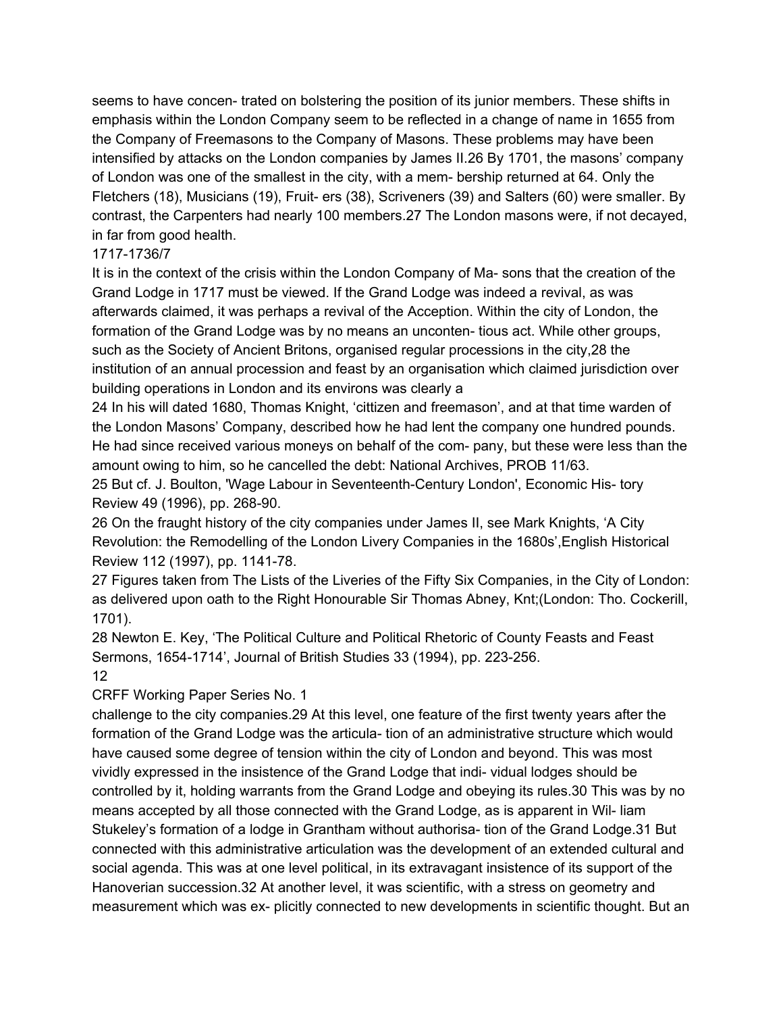seems to have concen- trated on bolstering the position of its junior members. These shifts in emphasis within the London Company seem to be reflected in a change of name in 1655 from the Company of Freemasons to the Company of Masons. These problems may have been intensified by attacks on the London companies by James II.26 By 1701, the masons' company of London was one of the smallest in the city, with a mem- bership returned at 64. Only the Fletchers (18), Musicians (19), Fruit- ers (38), Scriveners (39) and Salters (60) were smaller. By contrast, the Carpenters had nearly 100 members.27 The London masons were, if not decayed, in far from good health.

# 1717-1736/7

It is in the context of the crisis within the London Company of Ma- sons that the creation of the Grand Lodge in 1717 must be viewed. If the Grand Lodge was indeed a revival, as was afterwards claimed, it was perhaps a revival of the Acception. Within the city of London, the formation of the Grand Lodge was by no means an unconten- tious act. While other groups, such as the Society of Ancient Britons, organised regular processions in the city,28 the institution of an annual procession and feast by an organisation which claimed jurisdiction over building operations in London and its environs was clearly a

24 In his will dated 1680, Thomas Knight, 'cittizen and freemason', and at that time warden of the London Masons' Company, described how he had lent the company one hundred pounds. He had since received various moneys on behalf of the com- pany, but these were less than the amount owing to him, so he cancelled the debt: National Archives, PROB 11/63.

25 But cf. J. Boulton, 'Wage Labour in Seventeenth-Century London', Economic His- tory Review 49 (1996), pp. 268-90.

26 On the fraught history of the city companies under James II, see Mark Knights, 'A City Revolution: the Remodelling of the London Livery Companies in the 1680s',English Historical Review 112 (1997), pp. 1141-78.

27 Figures taken from The Lists of the Liveries of the Fifty Six Companies, in the City of London: as delivered upon oath to the Right Honourable Sir Thomas Abney, Knt;(London: Tho. Cockerill, 1701).

28 Newton E. Key, 'The Political Culture and Political Rhetoric of County Feasts and Feast Sermons, 1654-1714', Journal of British Studies 33 (1994), pp. 223-256.

### 12

CRFF Working Paper Series No. 1

challenge to the city companies.29 At this level, one feature of the first twenty years after the formation of the Grand Lodge was the articula- tion of an administrative structure which would have caused some degree of tension within the city of London and beyond. This was most vividly expressed in the insistence of the Grand Lodge that indi- vidual lodges should be controlled by it, holding warrants from the Grand Lodge and obeying its rules.30 This was by no means accepted by all those connected with the Grand Lodge, as is apparent in Wil- liam Stukeley's formation of a lodge in Grantham without authorisa- tion of the Grand Lodge.31 But connected with this administrative articulation was the development of an extended cultural and social agenda. This was at one level political, in its extravagant insistence of its support of the Hanoverian succession.32 At another level, it was scientific, with a stress on geometry and measurement which was ex- plicitly connected to new developments in scientific thought. But an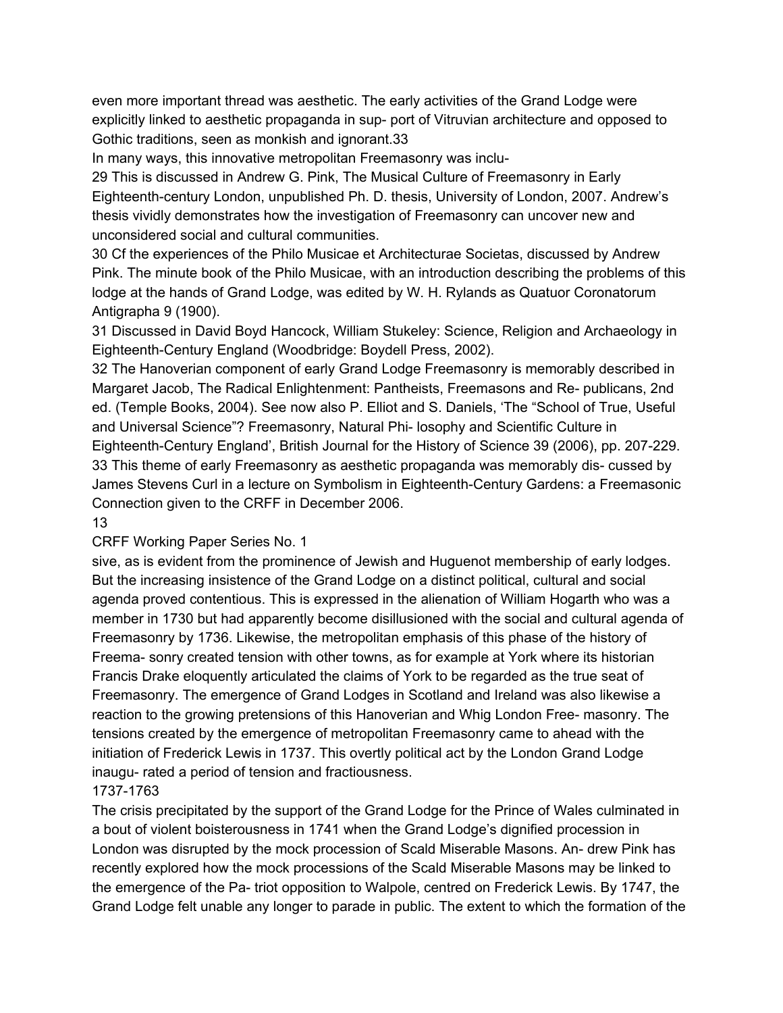even more important thread was aesthetic. The early activities of the Grand Lodge were explicitly linked to aesthetic propaganda in sup- port of Vitruvian architecture and opposed to Gothic traditions, seen as monkish and ignorant.33

In many ways, this innovative metropolitan Freemasonry was inclu-

29 This is discussed in Andrew G. Pink, The Musical Culture of Freemasonry in Early Eighteenth-century London, unpublished Ph. D. thesis, University of London, 2007. Andrew's thesis vividly demonstrates how the investigation of Freemasonry can uncover new and unconsidered social and cultural communities.

30 Cf the experiences of the Philo Musicae et Architecturae Societas, discussed by Andrew Pink. The minute book of the Philo Musicae, with an introduction describing the problems of this lodge at the hands of Grand Lodge, was edited by W. H. Rylands as Quatuor Coronatorum Antigrapha 9 (1900).

31 Discussed in David Boyd Hancock, William Stukeley: Science, Religion and Archaeology in Eighteenth-Century England (Woodbridge: Boydell Press, 2002).

32 The Hanoverian component of early Grand Lodge Freemasonry is memorably described in Margaret Jacob, The Radical Enlightenment: Pantheists, Freemasons and Re- publicans, 2nd ed. (Temple Books, 2004). See now also P. Elliot and S. Daniels, 'The "School of True, Useful and Universal Science"? Freemasonry, Natural Phi- losophy and Scientific Culture in Eighteenth-Century England', British Journal for the History of Science 39 (2006), pp. 207-229. 33 This theme of early Freemasonry as aesthetic propaganda was memorably dis- cussed by James Stevens Curl in a lecture on Symbolism in Eighteenth-Century Gardens: a Freemasonic Connection given to the CRFF in December 2006.

13

CRFF Working Paper Series No. 1

sive, as is evident from the prominence of Jewish and Huguenot membership of early lodges. But the increasing insistence of the Grand Lodge on a distinct political, cultural and social agenda proved contentious. This is expressed in the alienation of William Hogarth who was a member in 1730 but had apparently become disillusioned with the social and cultural agenda of Freemasonry by 1736. Likewise, the metropolitan emphasis of this phase of the history of Freema- sonry created tension with other towns, as for example at York where its historian Francis Drake eloquently articulated the claims of York to be regarded as the true seat of Freemasonry. The emergence of Grand Lodges in Scotland and Ireland was also likewise a reaction to the growing pretensions of this Hanoverian and Whig London Free- masonry. The tensions created by the emergence of metropolitan Freemasonry came to ahead with the initiation of Frederick Lewis in 1737. This overtly political act by the London Grand Lodge inaugu- rated a period of tension and fractiousness.

# 1737-1763

The crisis precipitated by the support of the Grand Lodge for the Prince of Wales culminated in a bout of violent boisterousness in 1741 when the Grand Lodge's dignified procession in London was disrupted by the mock procession of Scald Miserable Masons. An- drew Pink has recently explored how the mock processions of the Scald Miserable Masons may be linked to the emergence of the Pa- triot opposition to Walpole, centred on Frederick Lewis. By 1747, the Grand Lodge felt unable any longer to parade in public. The extent to which the formation of the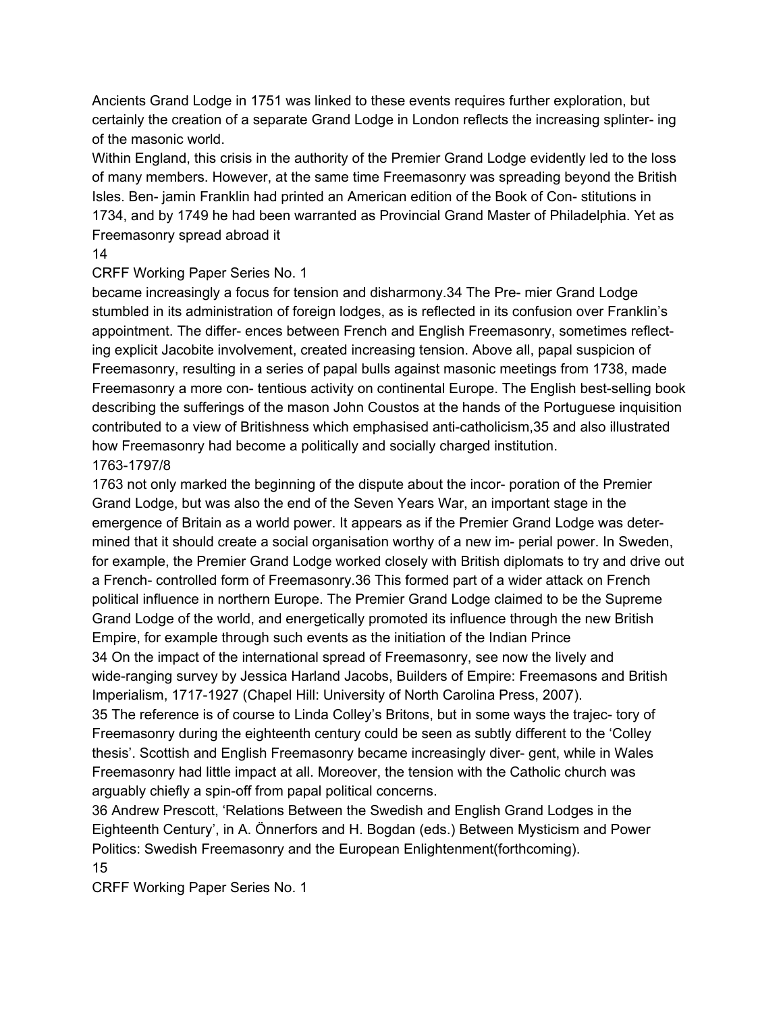Ancients Grand Lodge in 1751 was linked to these events requires further exploration, but certainly the creation of a separate Grand Lodge in London reflects the increasing splinter- ing of the masonic world.

Within England, this crisis in the authority of the Premier Grand Lodge evidently led to the loss of many members. However, at the same time Freemasonry was spreading beyond the British Isles. Ben- jamin Franklin had printed an American edition of the Book of Con- stitutions in 1734, and by 1749 he had been warranted as Provincial Grand Master of Philadelphia. Yet as Freemasonry spread abroad it

### 14

# CRFF Working Paper Series No. 1

became increasingly a focus for tension and disharmony.34 The Pre- mier Grand Lodge stumbled in its administration of foreign lodges, as is reflected in its confusion over Franklin's appointment. The differ- ences between French and English Freemasonry, sometimes reflecting explicit Jacobite involvement, created increasing tension. Above all, papal suspicion of Freemasonry, resulting in a series of papal bulls against masonic meetings from 1738, made Freemasonry a more con- tentious activity on continental Europe. The English best-selling book describing the sufferings of the mason John Coustos at the hands of the Portuguese inquisition contributed to a view of Britishness which emphasised anti-catholicism,35 and also illustrated how Freemasonry had become a politically and socially charged institution.

# 1763-1797/8

1763 not only marked the beginning of the dispute about the incor- poration of the Premier Grand Lodge, but was also the end of the Seven Years War, an important stage in the emergence of Britain as a world power. It appears as if the Premier Grand Lodge was determined that it should create a social organisation worthy of a new im- perial power. In Sweden, for example, the Premier Grand Lodge worked closely with British diplomats to try and drive out a French- controlled form of Freemasonry.36 This formed part of a wider attack on French political influence in northern Europe. The Premier Grand Lodge claimed to be the Supreme Grand Lodge of the world, and energetically promoted its influence through the new British Empire, for example through such events as the initiation of the Indian Prince 34 On the impact of the international spread of Freemasonry, see now the lively and wide-ranging survey by Jessica Harland Jacobs, Builders of Empire: Freemasons and British Imperialism, 1717-1927 (Chapel Hill: University of North Carolina Press, 2007).

35 The reference is of course to Linda Colley's Britons, but in some ways the trajec- tory of Freemasonry during the eighteenth century could be seen as subtly different to the 'Colley thesis'. Scottish and English Freemasonry became increasingly diver- gent, while in Wales Freemasonry had little impact at all. Moreover, the tension with the Catholic church was arguably chiefly a spin-off from papal political concerns.

36 Andrew Prescott, 'Relations Between the Swedish and English Grand Lodges in the Eighteenth Century', in A. Önnerfors and H. Bogdan (eds.) Between Mysticism and Power Politics: Swedish Freemasonry and the European Enlightenment(forthcoming). 15

CRFF Working Paper Series No. 1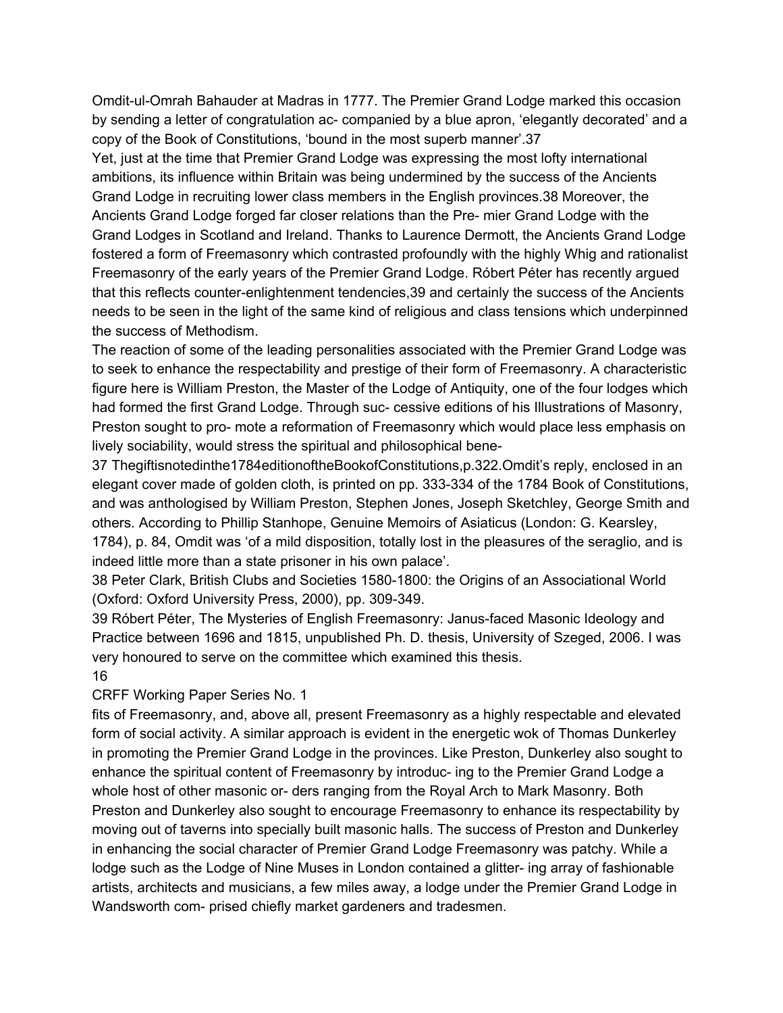Omdit-ul-Omrah Bahauder at Madras in 1777. The Premier Grand Lodge marked this occasion by sending a letter of congratulation ac- companied by a blue apron, 'elegantly decorated' and a copy of the Book of Constitutions, 'bound in the most superb manner'.37

Yet, just at the time that Premier Grand Lodge was expressing the most lofty international ambitions, its influence within Britain was being undermined by the success of the Ancients Grand Lodge in recruiting lower class members in the English provinces.38 Moreover, the Ancients Grand Lodge forged far closer relations than the Pre- mier Grand Lodge with the Grand Lodges in Scotland and Ireland. Thanks to Laurence Dermott, the Ancients Grand Lodge fostered a form of Freemasonry which contrasted profoundly with the highly Whig and rationalist Freemasonry of the early years of the Premier Grand Lodge. Róbert Péter has recently argued that this reflects counter-enlightenment tendencies,39 and certainly the success of the Ancients needs to be seen in the light of the same kind of religious and class tensions which underpinned the success of Methodism.

The reaction of some of the leading personalities associated with the Premier Grand Lodge was to seek to enhance the respectability and prestige of their form of Freemasonry. A characteristic figure here is William Preston, the Master of the Lodge of Antiquity, one of the four lodges which had formed the first Grand Lodge. Through suc- cessive editions of his Illustrations of Masonry, Preston sought to pro- mote a reformation of Freemasonry which would place less emphasis on lively sociability, would stress the spiritual and philosophical bene-

37 Thegiftisnotedinthe1784editionoftheBookofConstitutions,p.322.Omdit's reply, enclosed in an elegant cover made of golden cloth, is printed on pp. 333-334 of the 1784 Book of Constitutions, and was anthologised by William Preston, Stephen Jones, Joseph Sketchley, George Smith and others. According to Phillip Stanhope, Genuine Memoirs of Asiaticus (London: G. Kearsley, 1784), p. 84, Omdit was 'of a mild disposition, totally lost in the pleasures of the seraglio, and is indeed little more than a state prisoner in his own palace'.

38 Peter Clark, British Clubs and Societies 1580-1800: the Origins of an Associational World (Oxford: Oxford University Press, 2000), pp. 309-349.

39 Róbert Péter, The Mysteries of English Freemasonry: Janus-faced Masonic Ideology and Practice between 1696 and 1815, unpublished Ph. D. thesis, University of Szeged, 2006. I was very honoured to serve on the committee which examined this thesis. 16

# CRFF Working Paper Series No. 1

fits of Freemasonry, and, above all, present Freemasonry as a highly respectable and elevated form of social activity. A similar approach is evident in the energetic wok of Thomas Dunkerley in promoting the Premier Grand Lodge in the provinces. Like Preston, Dunkerley also sought to enhance the spiritual content of Freemasonry by introduc- ing to the Premier Grand Lodge a whole host of other masonic or- ders ranging from the Royal Arch to Mark Masonry. Both Preston and Dunkerley also sought to encourage Freemasonry to enhance its respectability by moving out of taverns into specially built masonic halls. The success of Preston and Dunkerley in enhancing the social character of Premier Grand Lodge Freemasonry was patchy. While a lodge such as the Lodge of Nine Muses in London contained a glitter- ing array of fashionable artists, architects and musicians, a few miles away, a lodge under the Premier Grand Lodge in Wandsworth com- prised chiefly market gardeners and tradesmen.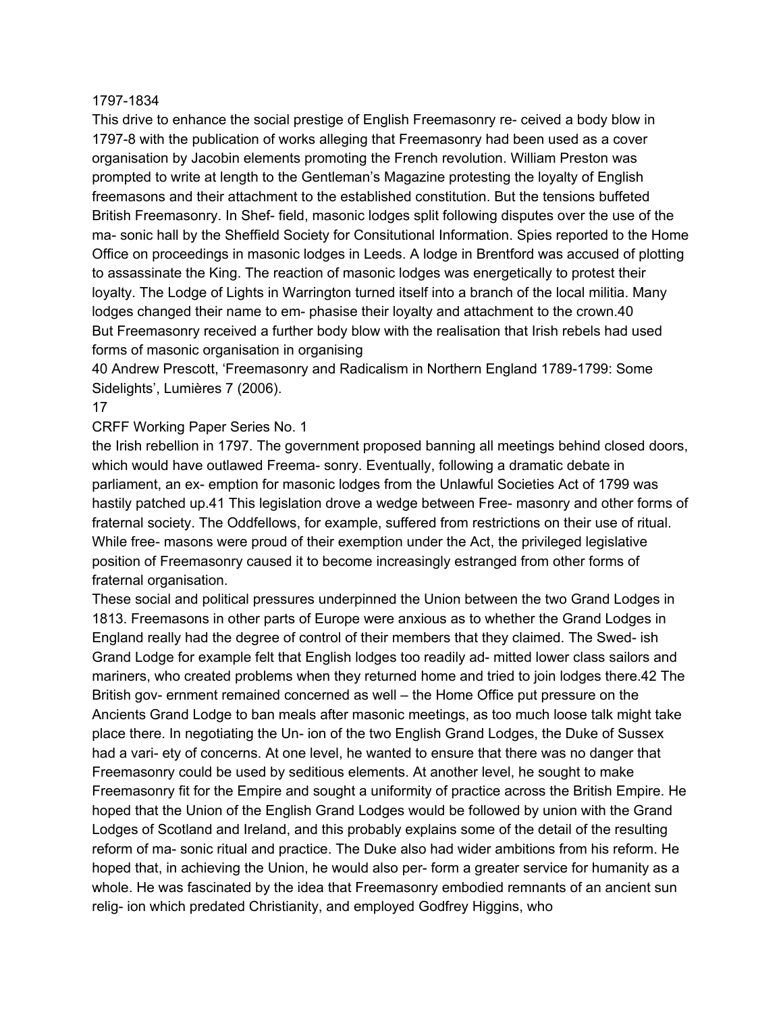#### 1797-1834

This drive to enhance the social prestige of English Freemasonry re- ceived a body blow in 1797-8 with the publication of works alleging that Freemasonry had been used as a cover organisation by Jacobin elements promoting the French revolution. William Preston was prompted to write at length to the Gentleman's Magazine protesting the loyalty of English freemasons and their attachment to the established constitution. But the tensions buffeted British Freemasonry. In Shef- field, masonic lodges split following disputes over the use of the ma- sonic hall by the Sheffield Society for Consitutional Information. Spies reported to the Home Office on proceedings in masonic lodges in Leeds. A lodge in Brentford was accused of plotting to assassinate the King. The reaction of masonic lodges was energetically to protest their loyalty. The Lodge of Lights in Warrington turned itself into a branch of the local militia. Many lodges changed their name to em- phasise their loyalty and attachment to the crown.40 But Freemasonry received a further body blow with the realisation that Irish rebels had used forms of masonic organisation in organising

40 Andrew Prescott, 'Freemasonry and Radicalism in Northern England 1789-1799: Some Sidelights', Lumières 7 (2006).

### 17

CRFF Working Paper Series No. 1

the Irish rebellion in 1797. The government proposed banning all meetings behind closed doors, which would have outlawed Freema- sonry. Eventually, following a dramatic debate in parliament, an ex- emption for masonic lodges from the Unlawful Societies Act of 1799 was hastily patched up.41 This legislation drove a wedge between Free- masonry and other forms of fraternal society. The Oddfellows, for example, suffered from restrictions on their use of ritual. While free- masons were proud of their exemption under the Act, the privileged legislative position of Freemasonry caused it to become increasingly estranged from other forms of fraternal organisation.

These social and political pressures underpinned the Union between the two Grand Lodges in 1813. Freemasons in other parts of Europe were anxious as to whether the Grand Lodges in England really had the degree of control of their members that they claimed. The Swed- ish Grand Lodge for example felt that English lodges too readily ad- mitted lower class sailors and mariners, who created problems when they returned home and tried to join lodges there.42 The British gov- ernment remained concerned as well – the Home Office put pressure on the Ancients Grand Lodge to ban meals after masonic meetings, as too much loose talk might take place there. In negotiating the Un- ion of the two English Grand Lodges, the Duke of Sussex had a vari- ety of concerns. At one level, he wanted to ensure that there was no danger that Freemasonry could be used by seditious elements. At another level, he sought to make Freemasonry fit for the Empire and sought a uniformity of practice across the British Empire. He hoped that the Union of the English Grand Lodges would be followed by union with the Grand Lodges of Scotland and Ireland, and this probably explains some of the detail of the resulting reform of ma- sonic ritual and practice. The Duke also had wider ambitions from his reform. He hoped that, in achieving the Union, he would also per- form a greater service for humanity as a whole. He was fascinated by the idea that Freemasonry embodied remnants of an ancient sun relig- ion which predated Christianity, and employed Godfrey Higgins, who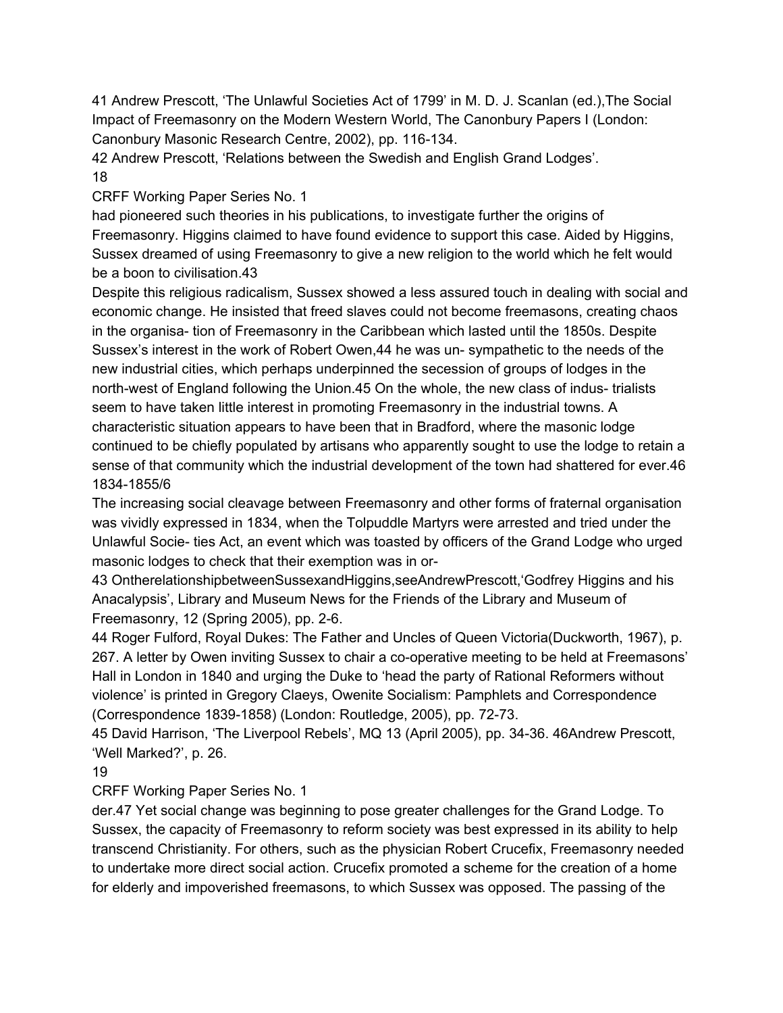41 Andrew Prescott, 'The Unlawful Societies Act of 1799' in M. D. J. Scanlan (ed.),The Social Impact of Freemasonry on the Modern Western World, The Canonbury Papers I (London: Canonbury Masonic Research Centre, 2002), pp. 116-134.

42 Andrew Prescott, 'Relations between the Swedish and English Grand Lodges'. 18

CRFF Working Paper Series No. 1

had pioneered such theories in his publications, to investigate further the origins of Freemasonry. Higgins claimed to have found evidence to support this case. Aided by Higgins, Sussex dreamed of using Freemasonry to give a new religion to the world which he felt would be a boon to civilisation.43

Despite this religious radicalism, Sussex showed a less assured touch in dealing with social and economic change. He insisted that freed slaves could not become freemasons, creating chaos in the organisa- tion of Freemasonry in the Caribbean which lasted until the 1850s. Despite Sussex's interest in the work of Robert Owen,44 he was un- sympathetic to the needs of the new industrial cities, which perhaps underpinned the secession of groups of lodges in the north-west of England following the Union.45 On the whole, the new class of indus- trialists seem to have taken little interest in promoting Freemasonry in the industrial towns. A characteristic situation appears to have been that in Bradford, where the masonic lodge continued to be chiefly populated by artisans who apparently sought to use the lodge to retain a sense of that community which the industrial development of the town had shattered for ever.46 1834-1855/6

The increasing social cleavage between Freemasonry and other forms of fraternal organisation was vividly expressed in 1834, when the Tolpuddle Martyrs were arrested and tried under the Unlawful Socie- ties Act, an event which was toasted by officers of the Grand Lodge who urged masonic lodges to check that their exemption was in or-

43 OntherelationshipbetweenSussexandHiggins,seeAndrewPrescott,'Godfrey Higgins and his Anacalypsis', Library and Museum News for the Friends of the Library and Museum of Freemasonry, 12 (Spring 2005), pp. 2-6.

44 Roger Fulford, Royal Dukes: The Father and Uncles of Queen Victoria(Duckworth, 1967), p. 267. A letter by Owen inviting Sussex to chair a co-operative meeting to be held at Freemasons' Hall in London in 1840 and urging the Duke to 'head the party of Rational Reformers without violence' is printed in Gregory Claeys, Owenite Socialism: Pamphlets and Correspondence (Correspondence 1839-1858) (London: Routledge, 2005), pp. 72-73.

45 David Harrison, 'The Liverpool Rebels', MQ 13 (April 2005), pp. 34-36. 46Andrew Prescott, 'Well Marked?', p. 26.

19

CRFF Working Paper Series No. 1

der.47 Yet social change was beginning to pose greater challenges for the Grand Lodge. To Sussex, the capacity of Freemasonry to reform society was best expressed in its ability to help transcend Christianity. For others, such as the physician Robert Crucefix, Freemasonry needed to undertake more direct social action. Crucefix promoted a scheme for the creation of a home for elderly and impoverished freemasons, to which Sussex was opposed. The passing of the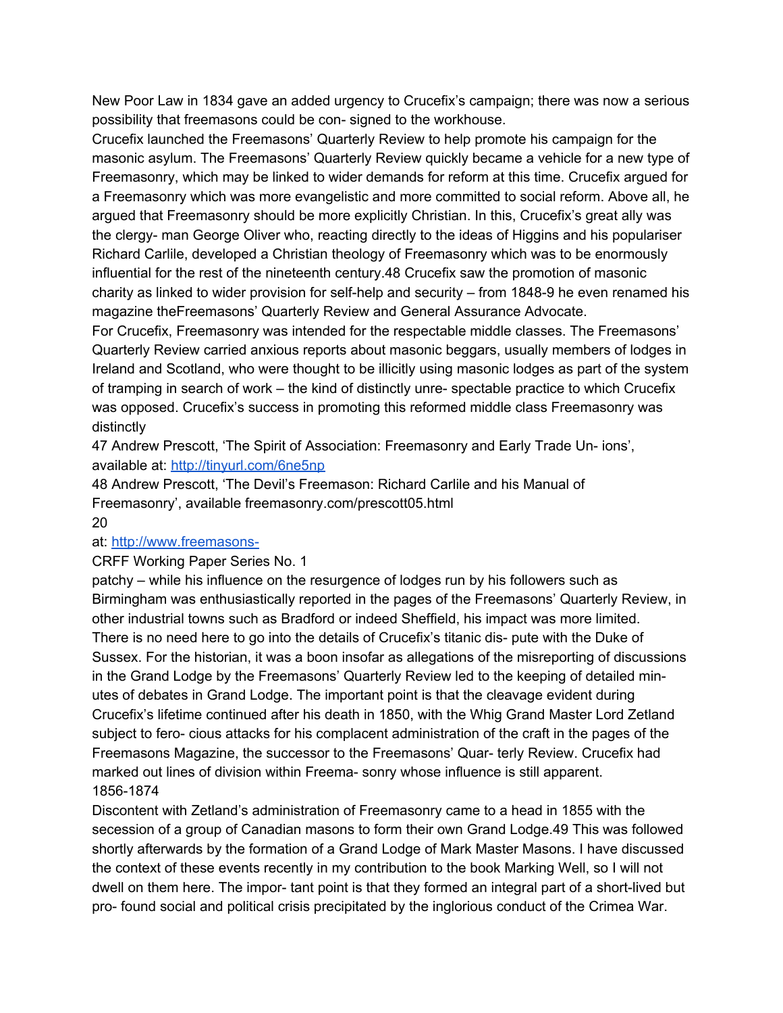New Poor Law in 1834 gave an added urgency to Crucefix's campaign; there was now a serious possibility that freemasons could be con- signed to the workhouse.

Crucefix launched the Freemasons' Quarterly Review to help promote his campaign for the masonic asylum. The Freemasons' Quarterly Review quickly became a vehicle for a new type of Freemasonry, which may be linked to wider demands for reform at this time. Crucefix argued for a Freemasonry which was more evangelistic and more committed to social reform. Above all, he argued that Freemasonry should be more explicitly Christian. In this, Crucefix's great ally was the clergy- man George Oliver who, reacting directly to the ideas of Higgins and his populariser Richard Carlile, developed a Christian theology of Freemasonry which was to be enormously influential for the rest of the nineteenth century.48 Crucefix saw the promotion of masonic charity as linked to wider provision for self-help and security – from 1848-9 he even renamed his magazine theFreemasons' Quarterly Review and General Assurance Advocate.

For Crucefix, Freemasonry was intended for the respectable middle classes. The Freemasons' Quarterly Review carried anxious reports about masonic beggars, usually members of lodges in Ireland and Scotland, who were thought to be illicitly using masonic lodges as part of the system of tramping in search of work – the kind of distinctly unre- spectable practice to which Crucefix was opposed. Crucefix's success in promoting this reformed middle class Freemasonry was distinctly

47 Andrew Prescott, 'The Spirit of Association: Freemasonry and Early Trade Un- ions', available at[:](http://tinyurl.com/6ne5np) <http://tinyurl.com/6ne5np>

48 Andrew Prescott, 'The Devil's Freemason: Richard Carlile and his Manual of Freemasonry', available freemasonry.com/prescott05.html

### 20

# at: http://www.freemasons-

CRFF Working Paper Series No. 1

patchy – while his influence on the resurgence of lodges run by his followers such as Birmingham was enthusiastically reported in the pages of the Freemasons' Quarterly Review, in other industrial towns such as Bradford or indeed Sheffield, his impact was more limited. There is no need here to go into the details of Crucefix's titanic dis- pute with the Duke of Sussex. For the historian, it was a boon insofar as allegations of the misreporting of discussions in the Grand Lodge by the Freemasons' Quarterly Review led to the keeping of detailed minutes of debates in Grand Lodge. The important point is that the cleavage evident during Crucefix's lifetime continued after his death in 1850, with the Whig Grand Master Lord Zetland subject to fero- cious attacks for his complacent administration of the craft in the pages of the Freemasons Magazine, the successor to the Freemasons' Quar- terly Review. Crucefix had marked out lines of division within Freema- sonry whose influence is still apparent. 1856-1874

Discontent with Zetland's administration of Freemasonry came to a head in 1855 with the secession of a group of Canadian masons to form their own Grand Lodge.49 This was followed shortly afterwards by the formation of a Grand Lodge of Mark Master Masons. I have discussed the context of these events recently in my contribution to the book Marking Well, so I will not dwell on them here. The impor- tant point is that they formed an integral part of a short-lived but pro- found social and political crisis precipitated by the inglorious conduct of the Crimea War.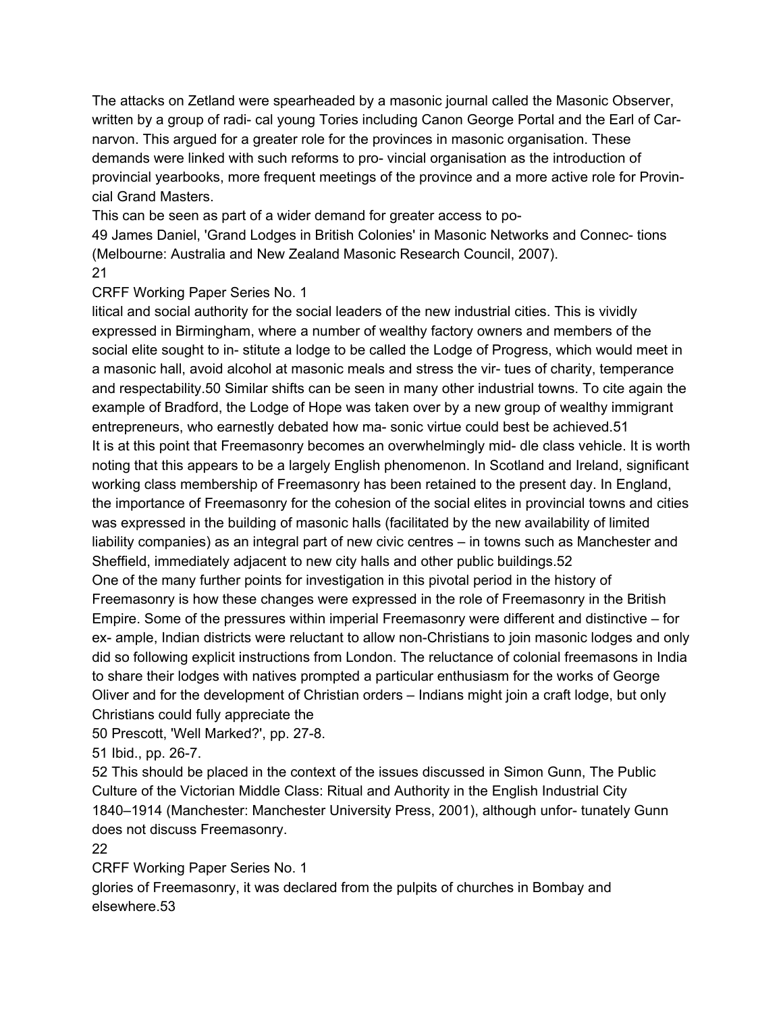The attacks on Zetland were spearheaded by a masonic journal called the Masonic Observer, written by a group of radi- cal young Tories including Canon George Portal and the Earl of Carnarvon. This argued for a greater role for the provinces in masonic organisation. These demands were linked with such reforms to pro- vincial organisation as the introduction of provincial yearbooks, more frequent meetings of the province and a more active role for Provincial Grand Masters.

This can be seen as part of a wider demand for greater access to po-

49 James Daniel, 'Grand Lodges in British Colonies' in Masonic Networks and Connec- tions (Melbourne: Australia and New Zealand Masonic Research Council, 2007).

# 21

# CRFF Working Paper Series No. 1

litical and social authority for the social leaders of the new industrial cities. This is vividly expressed in Birmingham, where a number of wealthy factory owners and members of the social elite sought to in- stitute a lodge to be called the Lodge of Progress, which would meet in a masonic hall, avoid alcohol at masonic meals and stress the vir- tues of charity, temperance and respectability.50 Similar shifts can be seen in many other industrial towns. To cite again the example of Bradford, the Lodge of Hope was taken over by a new group of wealthy immigrant entrepreneurs, who earnestly debated how ma- sonic virtue could best be achieved.51 It is at this point that Freemasonry becomes an overwhelmingly mid- dle class vehicle. It is worth noting that this appears to be a largely English phenomenon. In Scotland and Ireland, significant working class membership of Freemasonry has been retained to the present day. In England, the importance of Freemasonry for the cohesion of the social elites in provincial towns and cities was expressed in the building of masonic halls (facilitated by the new availability of limited liability companies) as an integral part of new civic centres – in towns such as Manchester and Sheffield, immediately adjacent to new city halls and other public buildings.52 One of the many further points for investigation in this pivotal period in the history of Freemasonry is how these changes were expressed in the role of Freemasonry in the British Empire. Some of the pressures within imperial Freemasonry were different and distinctive – for ex- ample, Indian districts were reluctant to allow non-Christians to join masonic lodges and only did so following explicit instructions from London. The reluctance of colonial freemasons in India to share their lodges with natives prompted a particular enthusiasm for the works of George Oliver and for the development of Christian orders – Indians might join a craft lodge, but only Christians could fully appreciate the

50 Prescott, 'Well Marked?', pp. 27-8.

51 Ibid., pp. 26-7.

52 This should be placed in the context of the issues discussed in Simon Gunn, The Public Culture of the Victorian Middle Class: Ritual and Authority in the English Industrial City 1840–1914 (Manchester: Manchester University Press, 2001), although unfor- tunately Gunn does not discuss Freemasonry.

22

CRFF Working Paper Series No. 1

glories of Freemasonry, it was declared from the pulpits of churches in Bombay and elsewhere.53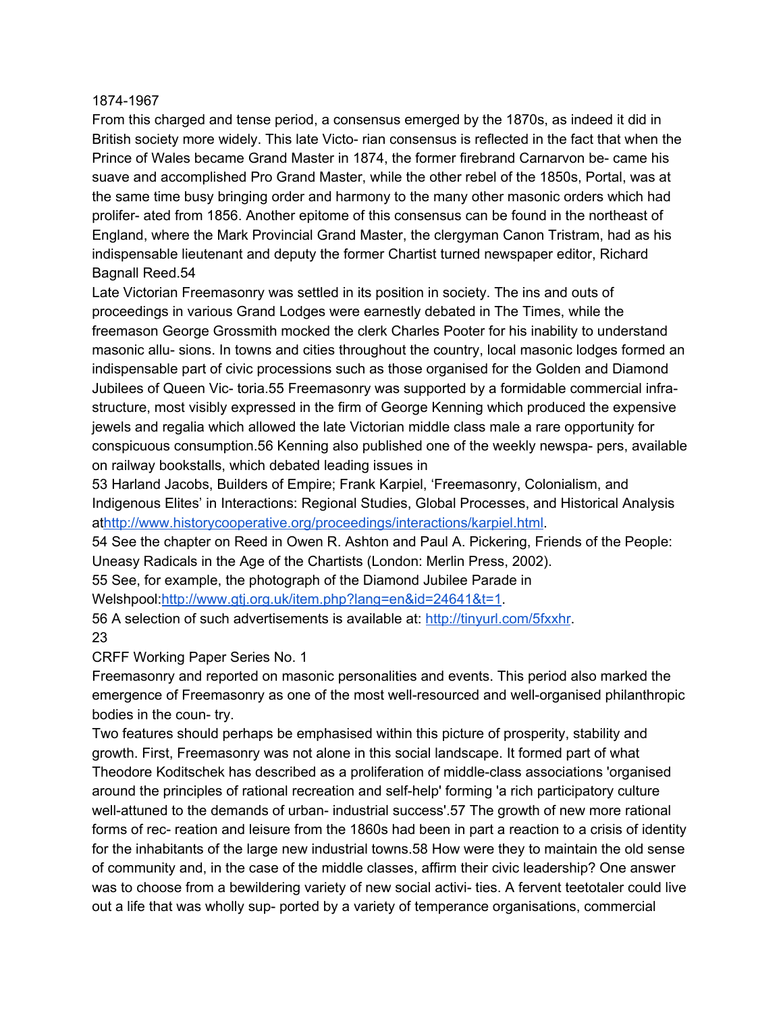#### 1874-1967

From this charged and tense period, a consensus emerged by the 1870s, as indeed it did in British society more widely. This late Victo- rian consensus is reflected in the fact that when the Prince of Wales became Grand Master in 1874, the former firebrand Carnarvon be- came his suave and accomplished Pro Grand Master, while the other rebel of the 1850s, Portal, was at the same time busy bringing order and harmony to the many other masonic orders which had prolifer- ated from 1856. Another epitome of this consensus can be found in the northeast of England, where the Mark Provincial Grand Master, the clergyman Canon Tristram, had as his indispensable lieutenant and deputy the former Chartist turned newspaper editor, Richard Bagnall Reed.54

Late Victorian Freemasonry was settled in its position in society. The ins and outs of proceedings in various Grand Lodges were earnestly debated in The Times, while the freemason George Grossmith mocked the clerk Charles Pooter for his inability to understand masonic allu- sions. In towns and cities throughout the country, local masonic lodges formed an indispensable part of civic processions such as those organised for the Golden and Diamond Jubilees of Queen Vic- toria.55 Freemasonry was supported by a formidable commercial infrastructure, most visibly expressed in the firm of George Kenning which produced the expensive jewels and regalia which allowed the late Victorian middle class male a rare opportunity for conspicuous consumption.56 Kenning also published one of the weekly newspa- pers, available on railway bookstalls, which debated leading issues in

53 Harland Jacobs, Builders of Empire; Frank Karpiel, 'Freemasonry, Colonialism, and Indigenous Elites' in Interactions: Regional Studies, Global Processes, and Historical Analysis a[thttp://www.historycooperative.org/proceedings/interactions/karpiel.html](http://www.historycooperative.org/proceedings/interactions/karpiel.html).

54 See the chapter on Reed in Owen R. Ashton and Paul A. Pickering, Friends of the People: Uneasy Radicals in the Age of the Chartists (London: Merlin Press, 2002).

55 See, for example, the photograph of the Diamond Jubilee Parade in Welshpool:<http://www.gtj.org.uk/item.php?lang=en&id=24641&t=1>.

56 A selection of such advertisements is available at: <http://tinyurl.com/5fxxhr>. 23

CRFF Working Paper Series No. 1

Freemasonry and reported on masonic personalities and events. This period also marked the emergence of Freemasonry as one of the most well-resourced and well-organised philanthropic bodies in the coun- try.

Two features should perhaps be emphasised within this picture of prosperity, stability and growth. First, Freemasonry was not alone in this social landscape. It formed part of what Theodore Koditschek has described as a proliferation of middle-class associations 'organised around the principles of rational recreation and self-help' forming 'a rich participatory culture well-attuned to the demands of urban- industrial success'.57 The growth of new more rational forms of rec- reation and leisure from the 1860s had been in part a reaction to a crisis of identity for the inhabitants of the large new industrial towns.58 How were they to maintain the old sense of community and, in the case of the middle classes, affirm their civic leadership? One answer was to choose from a bewildering variety of new social activi- ties. A fervent teetotaler could live out a life that was wholly sup- ported by a variety of temperance organisations, commercial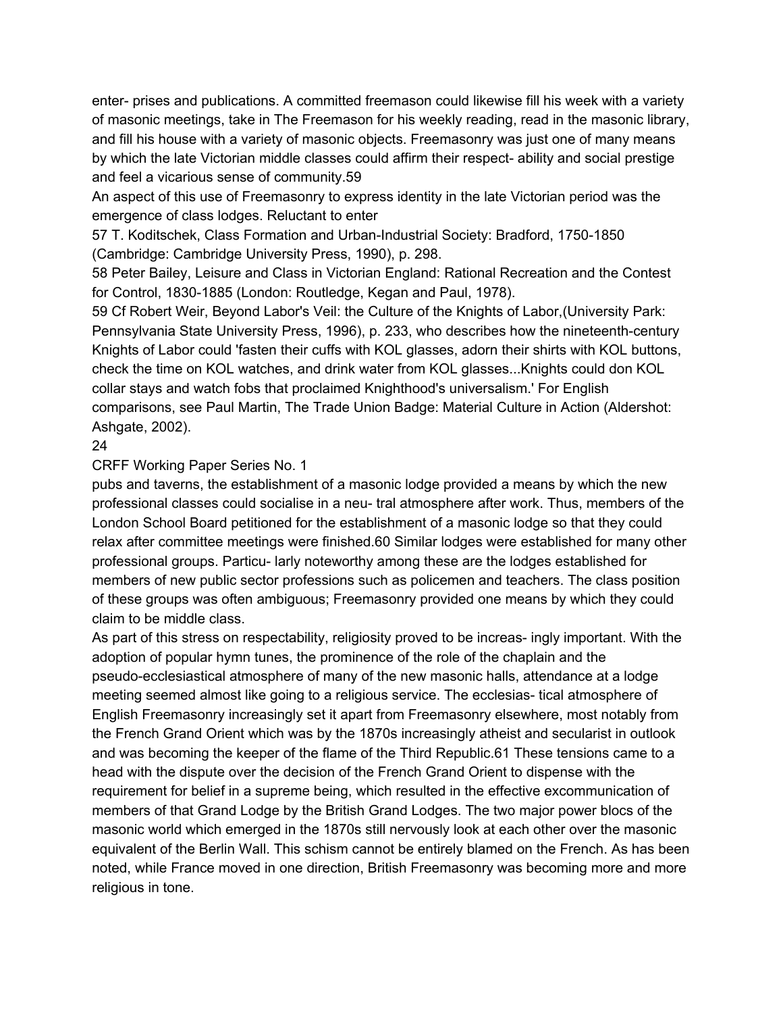enter- prises and publications. A committed freemason could likewise fill his week with a variety of masonic meetings, take in The Freemason for his weekly reading, read in the masonic library, and fill his house with a variety of masonic objects. Freemasonry was just one of many means by which the late Victorian middle classes could affirm their respect- ability and social prestige and feel a vicarious sense of community.59

An aspect of this use of Freemasonry to express identity in the late Victorian period was the emergence of class lodges. Reluctant to enter

57 T. Koditschek, Class Formation and Urban-Industrial Society: Bradford, 1750-1850 (Cambridge: Cambridge University Press, 1990), p. 298.

58 Peter Bailey, Leisure and Class in Victorian England: Rational Recreation and the Contest for Control, 1830-1885 (London: Routledge, Kegan and Paul, 1978).

59 Cf Robert Weir, Beyond Labor's Veil: the Culture of the Knights of Labor,(University Park: Pennsylvania State University Press, 1996), p. 233, who describes how the nineteenth-century Knights of Labor could 'fasten their cuffs with KOL glasses, adorn their shirts with KOL buttons, check the time on KOL watches, and drink water from KOL glasses...Knights could don KOL collar stays and watch fobs that proclaimed Knighthood's universalism.' For English comparisons, see Paul Martin, The Trade Union Badge: Material Culture in Action (Aldershot: Ashgate, 2002).

# 24

CRFF Working Paper Series No. 1

pubs and taverns, the establishment of a masonic lodge provided a means by which the new professional classes could socialise in a neu- tral atmosphere after work. Thus, members of the London School Board petitioned for the establishment of a masonic lodge so that they could relax after committee meetings were finished.60 Similar lodges were established for many other professional groups. Particu- larly noteworthy among these are the lodges established for members of new public sector professions such as policemen and teachers. The class position of these groups was often ambiguous; Freemasonry provided one means by which they could claim to be middle class.

As part of this stress on respectability, religiosity proved to be increas- ingly important. With the adoption of popular hymn tunes, the prominence of the role of the chaplain and the pseudo-ecclesiastical atmosphere of many of the new masonic halls, attendance at a lodge meeting seemed almost like going to a religious service. The ecclesias- tical atmosphere of English Freemasonry increasingly set it apart from Freemasonry elsewhere, most notably from the French Grand Orient which was by the 1870s increasingly atheist and secularist in outlook and was becoming the keeper of the flame of the Third Republic.61 These tensions came to a head with the dispute over the decision of the French Grand Orient to dispense with the requirement for belief in a supreme being, which resulted in the effective excommunication of members of that Grand Lodge by the British Grand Lodges. The two major power blocs of the masonic world which emerged in the 1870s still nervously look at each other over the masonic equivalent of the Berlin Wall. This schism cannot be entirely blamed on the French. As has been noted, while France moved in one direction, British Freemasonry was becoming more and more religious in tone.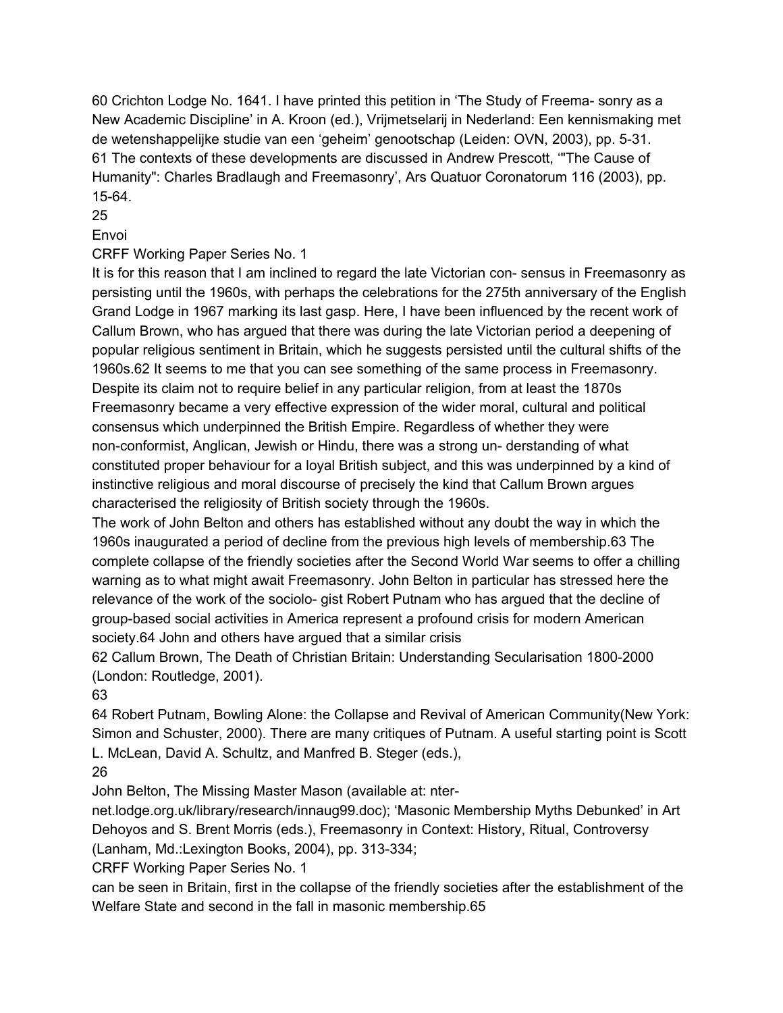60 Crichton Lodge No. 1641. I have printed this petition in 'The Study of Freema- sonry as a New Academic Discipline' in A. Kroon (ed.), Vrijmetselarij in Nederland: Een kennismaking met de wetenshappelijke studie van een 'geheim' genootschap (Leiden: OVN, 2003), pp. 5-31. 61 The contexts of these developments are discussed in Andrew Prescott, '"The Cause of Humanity": Charles Bradlaugh and Freemasonry', Ars Quatuor Coronatorum 116 (2003), pp. 15-64.

25

Envoi

CRFF Working Paper Series No. 1

It is for this reason that I am inclined to regard the late Victorian con- sensus in Freemasonry as persisting until the 1960s, with perhaps the celebrations for the 275th anniversary of the English Grand Lodge in 1967 marking its last gasp. Here, I have been influenced by the recent work of Callum Brown, who has argued that there was during the late Victorian period a deepening of popular religious sentiment in Britain, which he suggests persisted until the cultural shifts of the 1960s.62 It seems to me that you can see something of the same process in Freemasonry. Despite its claim not to require belief in any particular religion, from at least the 1870s Freemasonry became a very effective expression of the wider moral, cultural and political consensus which underpinned the British Empire. Regardless of whether they were non-conformist, Anglican, Jewish or Hindu, there was a strong un- derstanding of what constituted proper behaviour for a loyal British subject, and this was underpinned by a kind of instinctive religious and moral discourse of precisely the kind that Callum Brown argues characterised the religiosity of British society through the 1960s.

The work of John Belton and others has established without any doubt the way in which the 1960s inaugurated a period of decline from the previous high levels of membership.63 The complete collapse of the friendly societies after the Second World War seems to offer a chilling warning as to what might await Freemasonry. John Belton in particular has stressed here the relevance of the work of the sociolo- gist Robert Putnam who has argued that the decline of group-based social activities in America represent a profound crisis for modern American society.64 John and others have argued that a similar crisis

62 Callum Brown, The Death of Christian Britain: Understanding Secularisation 1800-2000 (London: Routledge, 2001).

63

64 Robert Putnam, Bowling Alone: the Collapse and Revival of American Community(New York: Simon and Schuster, 2000). There are many critiques of Putnam. A useful starting point is Scott L. McLean, David A. Schultz, and Manfred B. Steger (eds.),

26

John Belton, The Missing Master Mason (available at: nter-

net.lodge.org.uk/library/research/innaug99.doc); 'Masonic Membership Myths Debunked' in Art Dehoyos and S. Brent Morris (eds.), Freemasonry in Context: History, Ritual, Controversy (Lanham, Md.:Lexington Books, 2004), pp. 313-334;

CRFF Working Paper Series No. 1

can be seen in Britain, first in the collapse of the friendly societies after the establishment of the Welfare State and second in the fall in masonic membership.65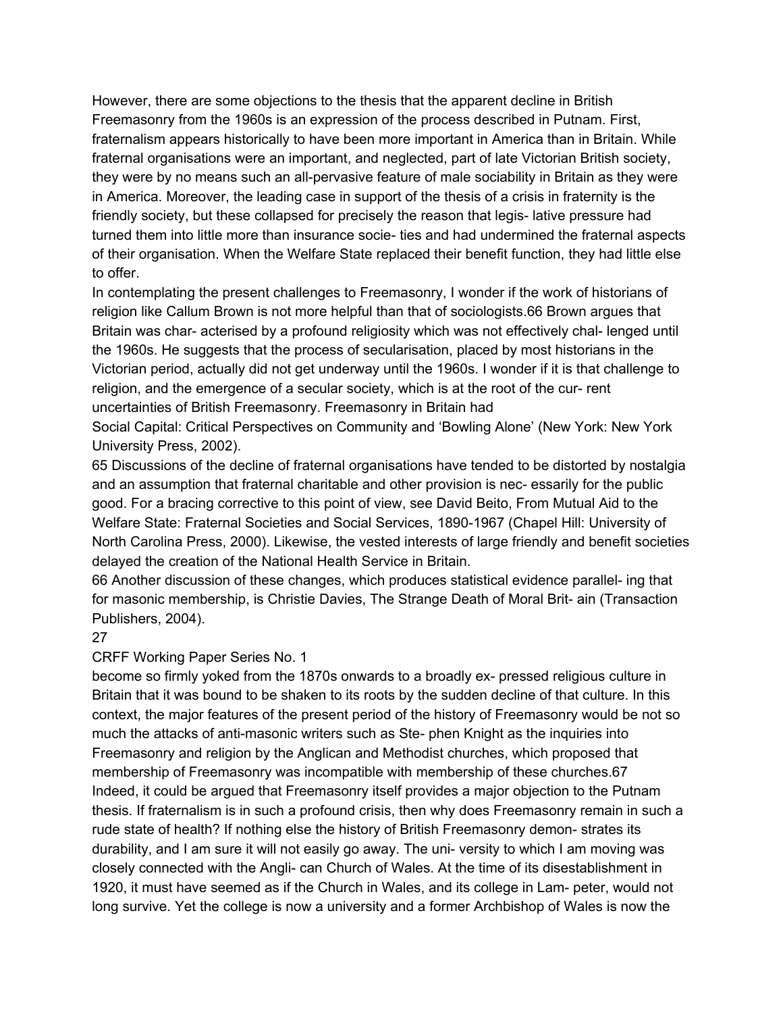However, there are some objections to the thesis that the apparent decline in British Freemasonry from the 1960s is an expression of the process described in Putnam. First, fraternalism appears historically to have been more important in America than in Britain. While fraternal organisations were an important, and neglected, part of late Victorian British society, they were by no means such an all-pervasive feature of male sociability in Britain as they were in America. Moreover, the leading case in support of the thesis of a crisis in fraternity is the friendly society, but these collapsed for precisely the reason that legis- lative pressure had turned them into little more than insurance socie- ties and had undermined the fraternal aspects of their organisation. When the Welfare State replaced their benefit function, they had little else to offer.

In contemplating the present challenges to Freemasonry, I wonder if the work of historians of religion like Callum Brown is not more helpful than that of sociologists.66 Brown argues that Britain was char- acterised by a profound religiosity which was not effectively chal- lenged until the 1960s. He suggests that the process of secularisation, placed by most historians in the Victorian period, actually did not get underway until the 1960s. I wonder if it is that challenge to religion, and the emergence of a secular society, which is at the root of the cur- rent uncertainties of British Freemasonry. Freemasonry in Britain had

Social Capital: Critical Perspectives on Community and 'Bowling Alone' (New York: New York University Press, 2002).

65 Discussions of the decline of fraternal organisations have tended to be distorted by nostalgia and an assumption that fraternal charitable and other provision is nec- essarily for the public good. For a bracing corrective to this point of view, see David Beito, From Mutual Aid to the Welfare State: Fraternal Societies and Social Services, 1890-1967 (Chapel Hill: University of North Carolina Press, 2000). Likewise, the vested interests of large friendly and benefit societies delayed the creation of the National Health Service in Britain.

66 Another discussion of these changes, which produces statistical evidence parallel- ing that for masonic membership, is Christie Davies, The Strange Death of Moral Brit- ain (Transaction Publishers, 2004).

### 27

# CRFF Working Paper Series No. 1

become so firmly yoked from the 1870s onwards to a broadly ex- pressed religious culture in Britain that it was bound to be shaken to its roots by the sudden decline of that culture. In this context, the major features of the present period of the history of Freemasonry would be not so much the attacks of anti-masonic writers such as Ste- phen Knight as the inquiries into Freemasonry and religion by the Anglican and Methodist churches, which proposed that membership of Freemasonry was incompatible with membership of these churches.67 Indeed, it could be argued that Freemasonry itself provides a major objection to the Putnam thesis. If fraternalism is in such a profound crisis, then why does Freemasonry remain in such a rude state of health? If nothing else the history of British Freemasonry demon- strates its durability, and I am sure it will not easily go away. The uni- versity to which I am moving was closely connected with the Angli- can Church of Wales. At the time of its disestablishment in 1920, it must have seemed as if the Church in Wales, and its college in Lam- peter, would not long survive. Yet the college is now a university and a former Archbishop of Wales is now the